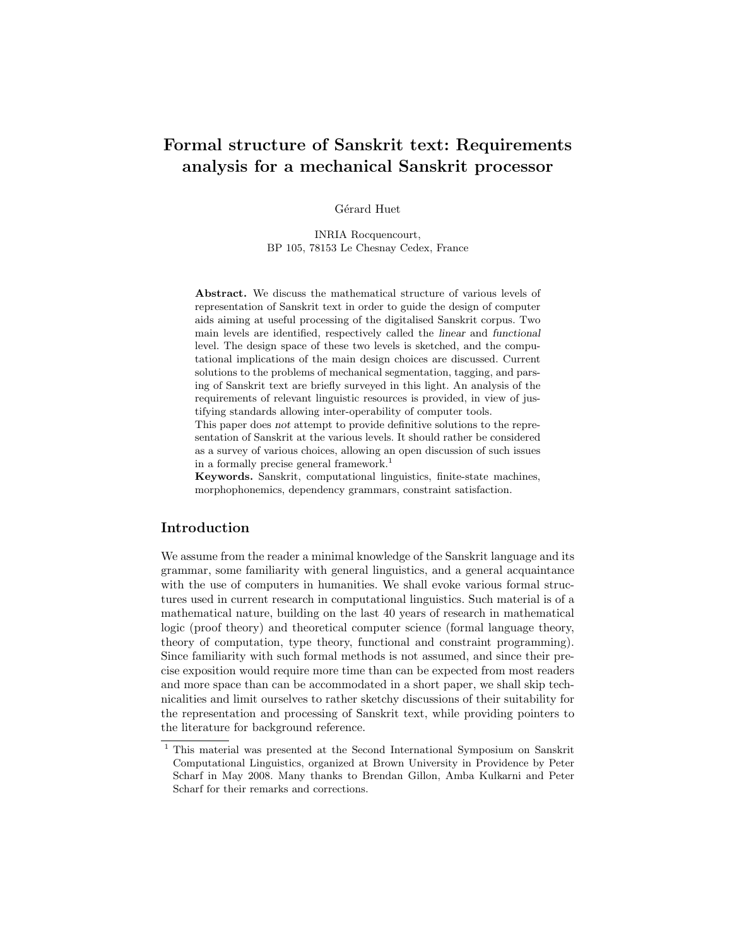# Formal structure of Sanskrit text: Requirements analysis for a mechanical Sanskrit processor

Gérard Huet

INRIA Rocquencourt, BP 105, 78153 Le Chesnay Cedex, France

Abstract. We discuss the mathematical structure of various levels of representation of Sanskrit text in order to guide the design of computer aids aiming at useful processing of the digitalised Sanskrit corpus. Two main levels are identified, respectively called the linear and functional level. The design space of these two levels is sketched, and the computational implications of the main design choices are discussed. Current solutions to the problems of mechanical segmentation, tagging, and parsing of Sanskrit text are briefly surveyed in this light. An analysis of the requirements of relevant linguistic resources is provided, in view of justifying standards allowing inter-operability of computer tools.

This paper does not attempt to provide definitive solutions to the representation of Sanskrit at the various levels. It should rather be considered as a survey of various choices, allowing an open discussion of such issues in a formally precise general framework.<sup>1</sup>

Keywords. Sanskrit, computational linguistics, finite-state machines, morphophonemics, dependency grammars, constraint satisfaction.

# Introduction

We assume from the reader a minimal knowledge of the Sanskrit language and its grammar, some familiarity with general linguistics, and a general acquaintance with the use of computers in humanities. We shall evoke various formal structures used in current research in computational linguistics. Such material is of a mathematical nature, building on the last 40 years of research in mathematical logic (proof theory) and theoretical computer science (formal language theory, theory of computation, type theory, functional and constraint programming). Since familiarity with such formal methods is not assumed, and since their precise exposition would require more time than can be expected from most readers and more space than can be accommodated in a short paper, we shall skip technicalities and limit ourselves to rather sketchy discussions of their suitability for the representation and processing of Sanskrit text, while providing pointers to the literature for background reference.

<sup>1</sup> This material was presented at the Second International Symposium on Sanskrit Computational Linguistics, organized at Brown University in Providence by Peter Scharf in May 2008. Many thanks to Brendan Gillon, Amba Kulkarni and Peter Scharf for their remarks and corrections.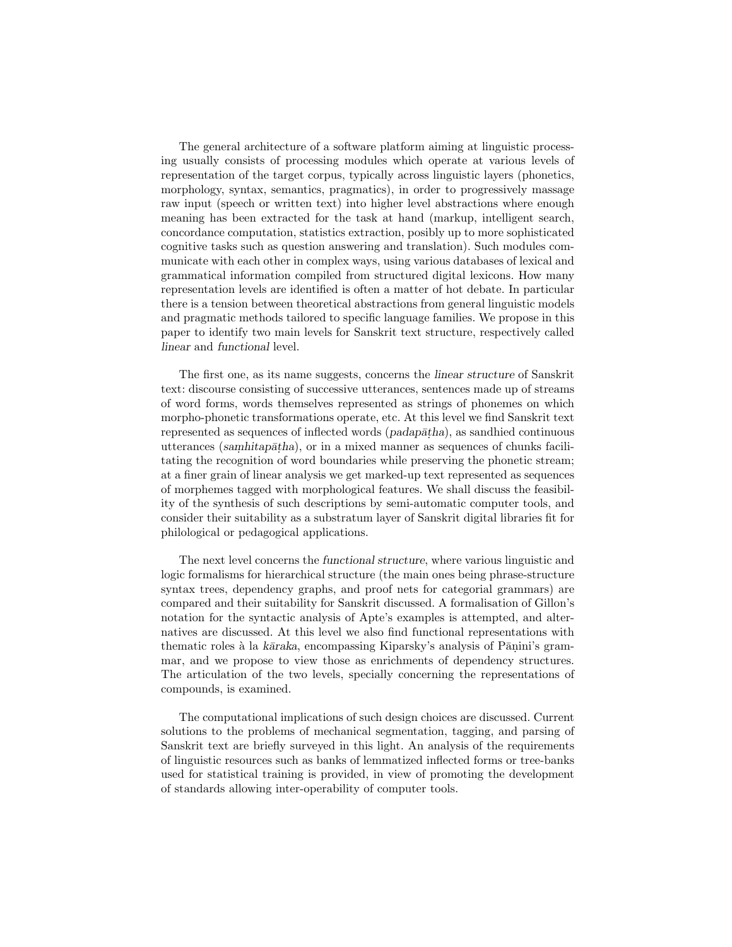The general architecture of a software platform aiming at linguistic processing usually consists of processing modules which operate at various levels of representation of the target corpus, typically across linguistic layers (phonetics, morphology, syntax, semantics, pragmatics), in order to progressively massage raw input (speech or written text) into higher level abstractions where enough meaning has been extracted for the task at hand (markup, intelligent search, concordance computation, statistics extraction, posibly up to more sophisticated cognitive tasks such as question answering and translation). Such modules communicate with each other in complex ways, using various databases of lexical and grammatical information compiled from structured digital lexicons. How many representation levels are identified is often a matter of hot debate. In particular there is a tension between theoretical abstractions from general linguistic models and pragmatic methods tailored to specific language families. We propose in this paper to identify two main levels for Sanskrit text structure, respectively called linear and functional level.

The first one, as its name suggests, concerns the linear structure of Sanskrit text: discourse consisting of successive utterances, sentences made up of streams of word forms, words themselves represented as strings of phonemes on which morpho-phonetic transformations operate, etc. At this level we find Sanskrit text represented as sequences of inflected words  $(padapātha)$ , as sandhied continuous utterances (samhitap $\bar{a}$ tha), or in a mixed manner as sequences of chunks facilitating the recognition of word boundaries while preserving the phonetic stream; at a finer grain of linear analysis we get marked-up text represented as sequences of morphemes tagged with morphological features. We shall discuss the feasibility of the synthesis of such descriptions by semi-automatic computer tools, and consider their suitability as a substratum layer of Sanskrit digital libraries fit for philological or pedagogical applications.

The next level concerns the functional structure, where various linguistic and logic formalisms for hierarchical structure (the main ones being phrase-structure syntax trees, dependency graphs, and proof nets for categorial grammars) are compared and their suitability for Sanskrit discussed. A formalisation of Gillon's notation for the syntactic analysis of Apte's examples is attempted, and alternatives are discussed. At this level we also find functional representations with thematic roles à la kāraka, encompassing Kiparsky's analysis of Pāṇini's grammar, and we propose to view those as enrichments of dependency structures. The articulation of the two levels, specially concerning the representations of compounds, is examined.

The computational implications of such design choices are discussed. Current solutions to the problems of mechanical segmentation, tagging, and parsing of Sanskrit text are briefly surveyed in this light. An analysis of the requirements of linguistic resources such as banks of lemmatized inflected forms or tree-banks used for statistical training is provided, in view of promoting the development of standards allowing inter-operability of computer tools.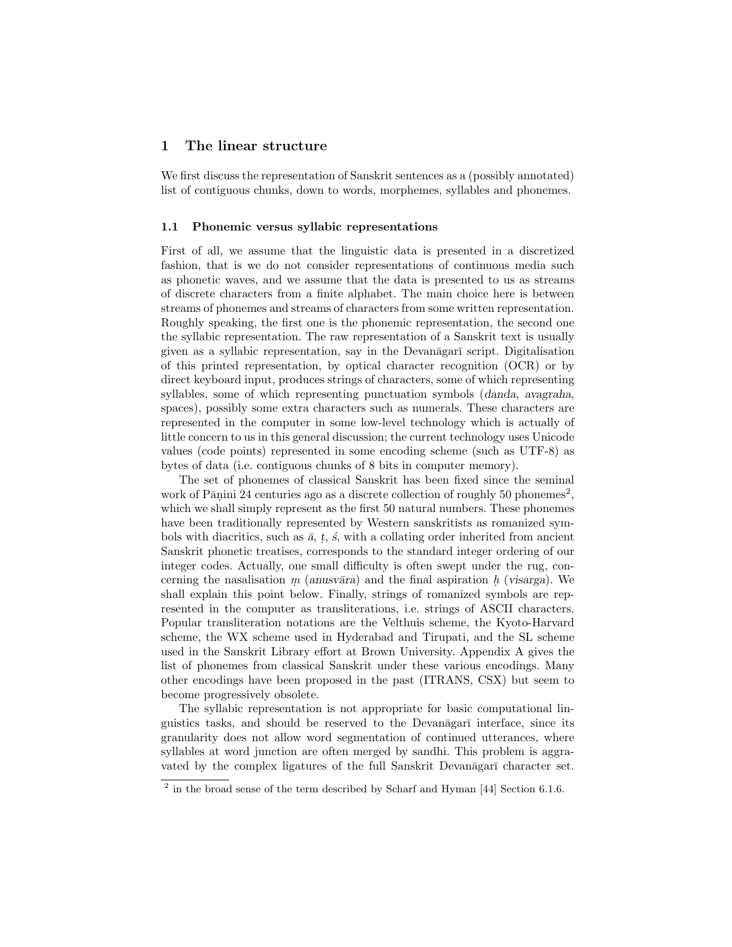# 1 The linear structure

We first discuss the representation of Sanskrit sentences as a (possibly annotated) list of contiguous chunks, down to words, morphemes, syllables and phonemes.

#### 1.1 Phonemic versus syllabic representations

First of all, we assume that the linguistic data is presented in a discretized fashion, that is we do not consider representations of continuous media such as phonetic waves, and we assume that the data is presented to us as streams of discrete characters from a finite alphabet. The main choice here is between streams of phonemes and streams of characters from some written representation. Roughly speaking, the first one is the phonemic representation, the second one the syllabic representation. The raw representation of a Sanskrit text is usually given as a syllabic representation, say in the Devanagari script. Digitalisation of this printed representation, by optical character recognition (OCR) or by direct keyboard input, produces strings of characters, some of which representing syllables, some of which representing punctuation symbols (danda, avagraha, spaces), possibly some extra characters such as numerals. These characters are represented in the computer in some low-level technology which is actually of little concern to us in this general discussion; the current technology uses Unicode values (code points) represented in some encoding scheme (such as UTF-8) as bytes of data (i.e. contiguous chunks of 8 bits in computer memory).

The set of phonemes of classical Sanskrit has been fixed since the seminal work of Pāṇini 24 centuries ago as a discrete collection of roughly 50 phonemes<sup>2</sup>, which we shall simply represent as the first 50 natural numbers. These phonemes have been traditionally represented by Western sanskritists as romanized symbols with diacritics, such as  $\bar{a}$ ,  $t$ ,  $\acute{s}$ , with a collating order inherited from ancient Sanskrit phonetic treatises, corresponds to the standard integer ordering of our integer codes. Actually, one small difficulty is often swept under the rug, concerning the nasalisation  $m$  (anusvāra) and the final aspiration  $h$  (visarga). We shall explain this point below. Finally, strings of romanized symbols are represented in the computer as transliterations, i.e. strings of ASCII characters. Popular transliteration notations are the Velthuis scheme, the Kyoto-Harvard scheme, the WX scheme used in Hyderabad and Tirupati, and the SL scheme used in the Sanskrit Library effort at Brown University. Appendix A gives the list of phonemes from classical Sanskrit under these various encodings. Many other encodings have been proposed in the past (ITRANS, CSX) but seem to become progressively obsolete.

The syllabic representation is not appropriate for basic computational linguistics tasks, and should be reserved to the Devanagari interface, since its granularity does not allow word segmentation of continued utterances, where syllables at word junction are often merged by sandhi. This problem is aggravated by the complex ligatures of the full Sanskrit Devanagari character set.

 $^2$  in the broad sense of the term described by Scharf and Hyman [44] Section 6.1.6.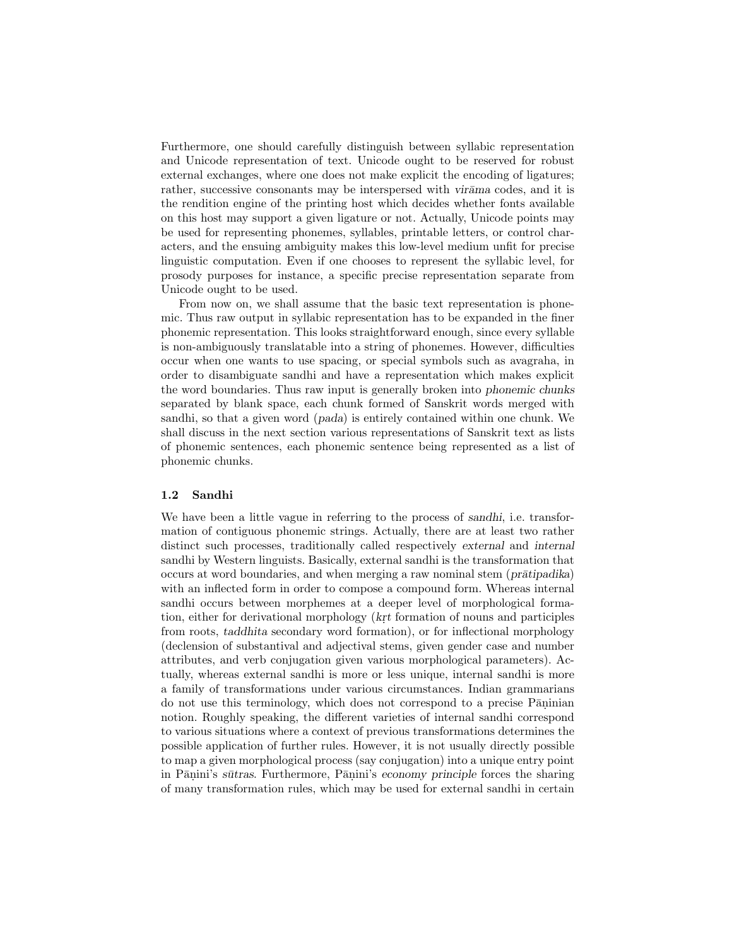Furthermore, one should carefully distinguish between syllabic representation and Unicode representation of text. Unicode ought to be reserved for robust external exchanges, where one does not make explicit the encoding of ligatures; rather, successive consonants may be interspersed with *virama* codes, and it is the rendition engine of the printing host which decides whether fonts available on this host may support a given ligature or not. Actually, Unicode points may be used for representing phonemes, syllables, printable letters, or control characters, and the ensuing ambiguity makes this low-level medium unfit for precise linguistic computation. Even if one chooses to represent the syllabic level, for prosody purposes for instance, a specific precise representation separate from Unicode ought to be used.

From now on, we shall assume that the basic text representation is phonemic. Thus raw output in syllabic representation has to be expanded in the finer phonemic representation. This looks straightforward enough, since every syllable is non-ambiguously translatable into a string of phonemes. However, difficulties occur when one wants to use spacing, or special symbols such as avagraha, in order to disambiguate sandhi and have a representation which makes explicit the word boundaries. Thus raw input is generally broken into phonemic chunks separated by blank space, each chunk formed of Sanskrit words merged with sandhi, so that a given word (pada) is entirely contained within one chunk. We shall discuss in the next section various representations of Sanskrit text as lists of phonemic sentences, each phonemic sentence being represented as a list of phonemic chunks.

## 1.2 Sandhi

We have been a little vague in referring to the process of sandhi, i.e. transformation of contiguous phonemic strings. Actually, there are at least two rather distinct such processes, traditionally called respectively external and internal sandhi by Western linguists. Basically, external sandhi is the transformation that occurs at word boundaries, and when merging a raw nominal stem ( $prātipadika$ ) with an inflected form in order to compose a compound form. Whereas internal sandhi occurs between morphemes at a deeper level of morphological formation, either for derivational morphology ( $krt$  formation of nouns and participles from roots, taddhita secondary word formation), or for inflectional morphology (declension of substantival and adjectival stems, given gender case and number attributes, and verb conjugation given various morphological parameters). Actually, whereas external sandhi is more or less unique, internal sandhi is more a family of transformations under various circumstances. Indian grammarians do not use this terminology, which does not correspond to a precise Pāṇinian notion. Roughly speaking, the different varieties of internal sandhi correspond to various situations where a context of previous transformations determines the possible application of further rules. However, it is not usually directly possible to map a given morphological process (say conjugation) into a unique entry point in Pāṇini's sūtras. Furthermore, Pāṇini's economy principle forces the sharing of many transformation rules, which may be used for external sandhi in certain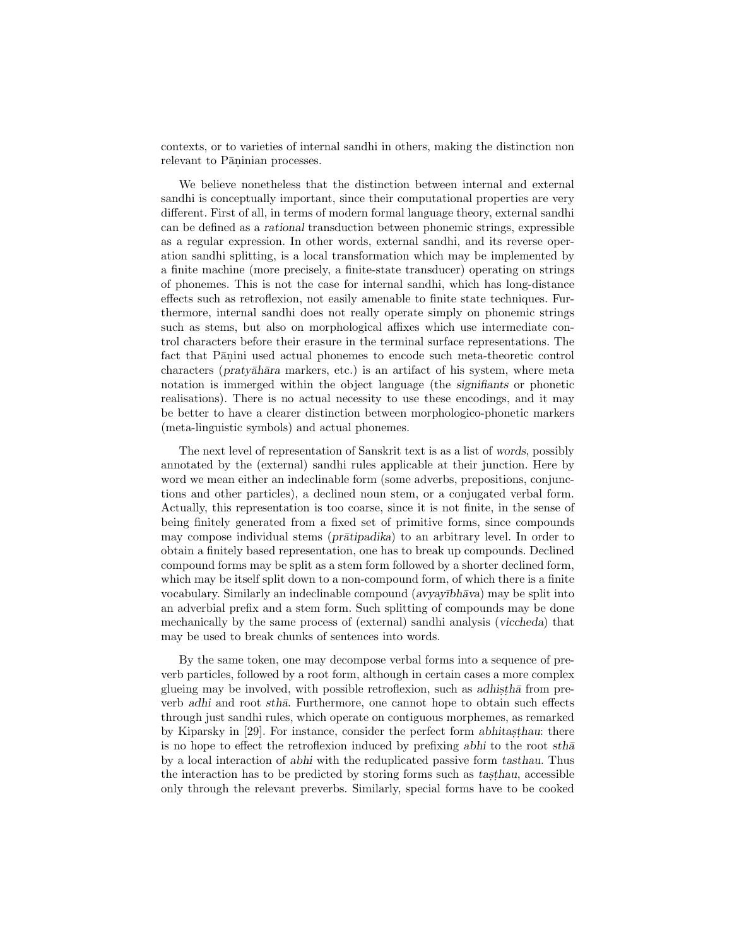contexts, or to varieties of internal sandhi in others, making the distinction non relevant to Pāṇinian processes.

We believe nonetheless that the distinction between internal and external sandhi is conceptually important, since their computational properties are very different. First of all, in terms of modern formal language theory, external sandhi can be defined as a rational transduction between phonemic strings, expressible as a regular expression. In other words, external sandhi, and its reverse operation sandhi splitting, is a local transformation which may be implemented by a finite machine (more precisely, a finite-state transducer) operating on strings of phonemes. This is not the case for internal sandhi, which has long-distance effects such as retroflexion, not easily amenable to finite state techniques. Furthermore, internal sandhi does not really operate simply on phonemic strings such as stems, but also on morphological affixes which use intermediate control characters before their erasure in the terminal surface representations. The fact that Pāṇini used actual phonemes to encode such meta-theoretic control characters ( $pratv\bar{a}h\bar{a}ra$  markers, etc.) is an artifact of his system, where meta notation is immerged within the object language (the signifiants or phonetic realisations). There is no actual necessity to use these encodings, and it may be better to have a clearer distinction between morphologico-phonetic markers (meta-linguistic symbols) and actual phonemes.

The next level of representation of Sanskrit text is as a list of words, possibly annotated by the (external) sandhi rules applicable at their junction. Here by word we mean either an indeclinable form (some adverbs, prepositions, conjunctions and other particles), a declined noun stem, or a conjugated verbal form. Actually, this representation is too coarse, since it is not finite, in the sense of being finitely generated from a fixed set of primitive forms, since compounds may compose individual stems ( $prātipadika$ ) to an arbitrary level. In order to obtain a finitely based representation, one has to break up compounds. Declined compound forms may be split as a stem form followed by a shorter declined form, which may be itself split down to a non-compound form, of which there is a finite vocabulary. Similarly an indeclinable compound  $(avvav\bar{v}b\bar{u}a)$  may be split into an adverbial prefix and a stem form. Such splitting of compounds may be done mechanically by the same process of (external) sandhi analysis (viccheda) that may be used to break chunks of sentences into words.

By the same token, one may decompose verbal forms into a sequence of preverb particles, followed by a root form, although in certain cases a more complex glueing may be involved, with possible retroflexion, such as adhistha from preverb adhi and root sthā. Furthermore, one cannot hope to obtain such effects through just sandhi rules, which operate on contiguous morphemes, as remarked by Kiparsky in [29]. For instance, consider the perfect form abhitasthau: there is no hope to effect the retroflexion induced by prefixing abhi to the root stha by a local interaction of abhi with the reduplicated passive form tasthau. Thus the interaction has to be predicted by storing forms such as tasthau, accessible only through the relevant preverbs. Similarly, special forms have to be cooked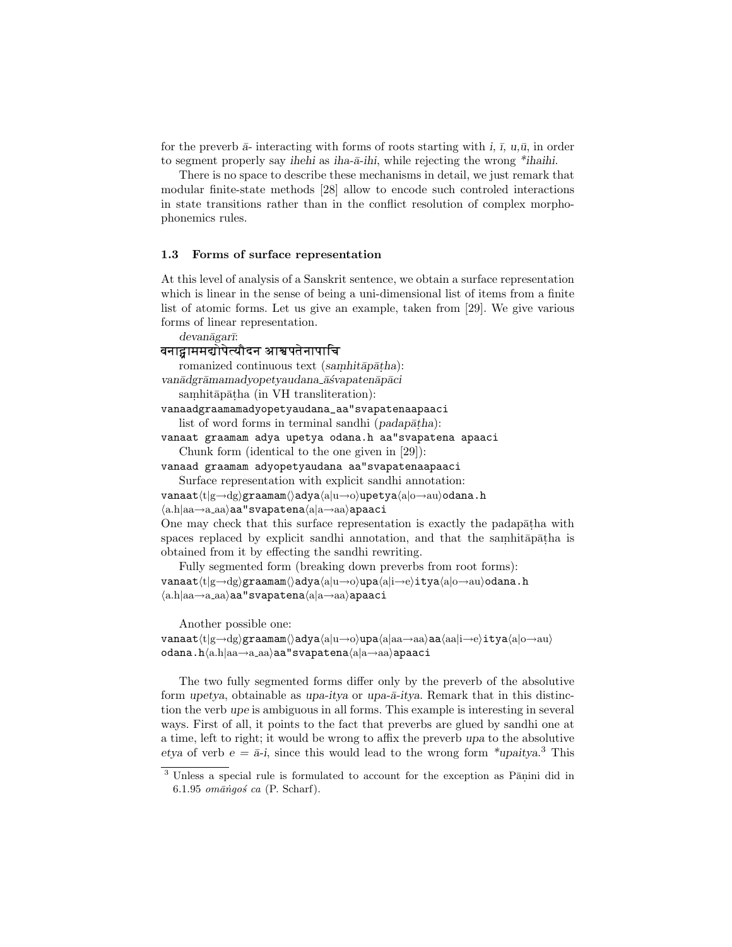for the preverb  $\bar{a}$ - interacting with forms of roots starting with i,  $\bar{i}$ ,  $u,\bar{u}$ , in order to segment properly say ihehi as iha- $\bar{a}$ -ihi, while rejecting the wrong \*ihaihi.

There is no space to describe these mechanisms in detail, we just remark that modular finite-state methods [28] allow to encode such controled interactions in state transitions rather than in the conflict resolution of complex morphophonemics rules.

#### 1.3 Forms of surface representation

At this level of analysis of a Sanskrit sentence, we obtain a surface representation which is linear in the sense of being a uni-dimensional list of items from a finite list of atomic forms. Let us give an example, taken from [29]. We give various forms of linear representation.

 $devanāgarī:$ 

# वनाद्गाममद्योपेत्यौदन आश्वपतेनापाचि

romanized continuous text  $(samhitāpātha)$ : vanādgrāmamadyopetyaudana\_āśvapatenāpāci samhitāpātha (in VH transliteration):

vanaadgraamamadyopetyaudana\_aa"svapatenaapaaci

list of word forms in terminal sandhi ( $padapātha$ ):

vanaat graamam adya upetya odana.h aa"svapatena apaaci Chunk form (identical to the one given in [29]):

vanaad graamam adyopetyaudana aa"svapatenaapaaci

Surface representation with explicit sandhi annotation:

vanaat(t|g→dg)graamam()adya(a|u→o)upetya(a|o→au)odana.h

 $\langle a.h|aa\rightarrow a$ <sub>-</sub>aa $\rangle$ aa"svapatena $\langle a|a\rightarrow aa\rangle$ apaaci

One may check that this surface representation is exactly the padapatha with spaces replaced by explicit sandhi annotation, and that the samhitapatha is obtained from it by effecting the sandhi rewriting.

Fully segmented form (breaking down preverbs from root forms): vanaat/t|g→dg\graamam/\adya(a|u→o\upa(a|i→e\itya(a|o→au\odana.h  $\langle a.h|aa\rightarrow a_aa\rangle$ aa"svapatena $\langle a|a\rightarrow aa\rangle$ apaaci

Another possible one:

```
vanaat(t|g→dg)graamam()adya(a|u→o)upa(a|aa→aa)aa(aa|i→e)itya(a|o→au)
odana.h\langle a,h|a \rightarrow a<sub>-aa</sub>\rangleaa"svapatena\langle a|a \rightarrow aa \rangleapaaci
```
The two fully segmented forms differ only by the preverb of the absolutive form upetya, obtainable as upa-itya or upa- $\bar{a}$ -itya. Remark that in this distinction the verb upe is ambiguous in all forms. This example is interesting in several ways. First of all, it points to the fact that preverbs are glued by sandhi one at a time, left to right; it would be wrong to affix the preverb upa to the absolutive etya of verb  $e = \bar{a} - i$ , since this would lead to the wrong form  $*$ upaitya.<sup>3</sup> This

 $3$  Unless a special rule is formulated to account for the exception as Pāṇini did in 6.1.95  $om\bar{a} \bar{n} q o \leq c \alpha$  (P. Scharf).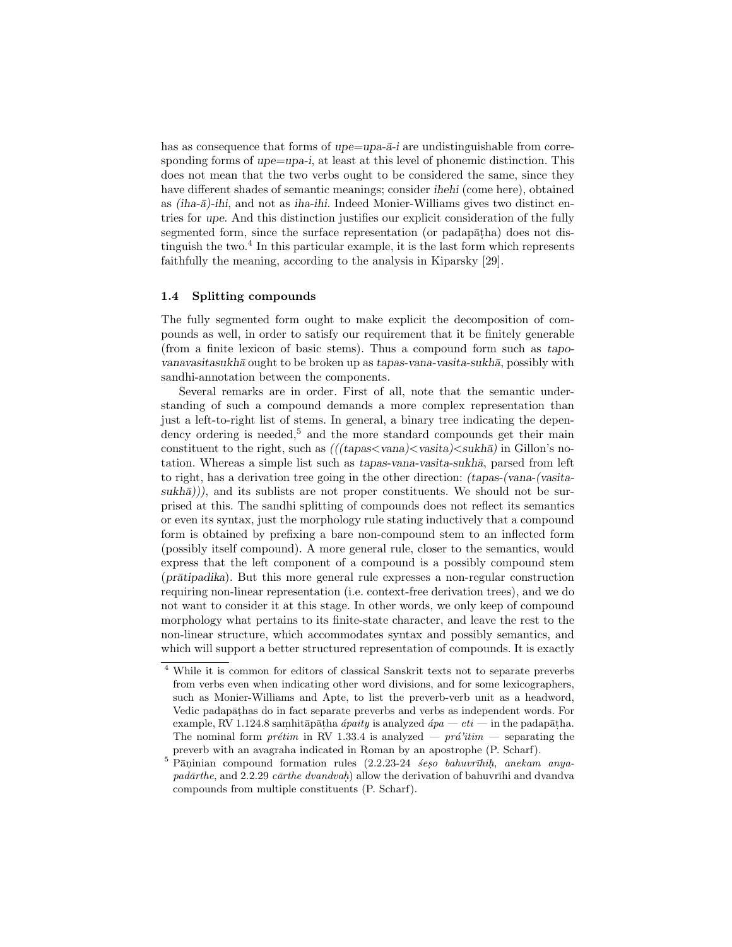has as consequence that forms of  $upe=upa-ā-i$  are undistinguishable from corresponding forms of upe=upa-i, at least at this level of phonemic distinction. This does not mean that the two verbs ought to be considered the same, since they have different shades of semantic meanings; consider ihehi (come here), obtained as  $(iha-\bar{a})-ihi$ , and not as *iha-ihi*. Indeed Monier-Williams gives two distinct entries for upe. And this distinction justifies our explicit consideration of the fully segmented form, since the surface representation (or padap $\bar{a}$ tha) does not distinguish the two.<sup>4</sup> In this particular example, it is the last form which represents faithfully the meaning, according to the analysis in Kiparsky [29].

## 1.4 Splitting compounds

The fully segmented form ought to make explicit the decomposition of compounds as well, in order to satisfy our requirement that it be finitely generable (from a finite lexicon of basic stems). Thus a compound form such as tapovanavasitasukhā ought to be broken up as tapas-vana-vasita-sukhā, possibly with sandhi-annotation between the components.

Several remarks are in order. First of all, note that the semantic understanding of such a compound demands a more complex representation than just a left-to-right list of stems. In general, a binary tree indicating the dependency ordering is needed,<sup>5</sup> and the more standard compounds get their main constituent to the right, such as  $(((tapas\lt; vana)\lt; vasita)\lt; sukh\bar{a})$  in Gillon's notation. Whereas a simple list such as tapas-vana-vasita-sukhā, parsed from left to right, has a derivation tree going in the other direction: (tapas-(vana-(vasita $sukh\bar{a}$ )), and its sublists are not proper constituents. We should not be surprised at this. The sandhi splitting of compounds does not reflect its semantics or even its syntax, just the morphology rule stating inductively that a compound form is obtained by prefixing a bare non-compound stem to an inflected form (possibly itself compound). A more general rule, closer to the semantics, would express that the left component of a compound is a possibly compound stem (*pr* $\bar{a}$ *tipadika*). But this more general rule expresses a non-regular construction requiring non-linear representation (i.e. context-free derivation trees), and we do not want to consider it at this stage. In other words, we only keep of compound morphology what pertains to its finite-state character, and leave the rest to the non-linear structure, which accommodates syntax and possibly semantics, and which will support a better structured representation of compounds. It is exactly

<sup>4</sup> While it is common for editors of classical Sanskrit texts not to separate preverbs from verbs even when indicating other word divisions, and for some lexicographers, such as Monier-Williams and Apte, to list the preverb-verb unit as a headword, Vedic padap $\bar{a}$ thas do in fact separate preverbs and verbs as independent words. For example, RV 1.124.8 samhitāpātha *ápaity* is analyzed  $ápa - eti -$  in the padapātha. The nominal form prétim in RV 1.33.4 is analyzed — prá'itim — separating the preverb with an avagraha indicated in Roman by an apostrophe (P. Scharf).

 $5$  Pāninian compound formation rules (2.2.23-24 *seso bahuvrīhih*, anekam anya $padārthe$ , and  $2.2.29$   $cārthe$   $du$ andvah) allow the derivation of bahuvrīhi and dvandva compounds from multiple constituents (P. Scharf).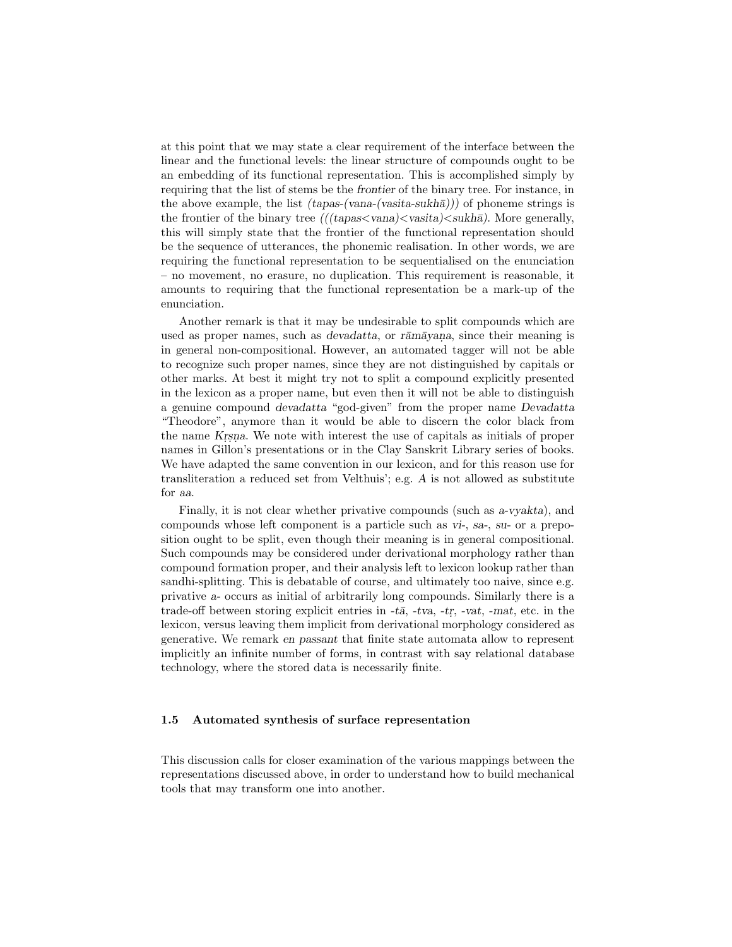at this point that we may state a clear requirement of the interface between the linear and the functional levels: the linear structure of compounds ought to be an embedding of its functional representation. This is accomplished simply by requiring that the list of stems be the frontier of the binary tree. For instance, in the above example, the list  $(tapas-(van-*avasta-sukhā*)))$  of phoneme strings is the frontier of the binary tree  $(((tapas\lt;vana)\lt;vasita)\lt;subfa)$ . More generally, this will simply state that the frontier of the functional representation should be the sequence of utterances, the phonemic realisation. In other words, we are requiring the functional representation to be sequentialised on the enunciation – no movement, no erasure, no duplication. This requirement is reasonable, it amounts to requiring that the functional representation be a mark-up of the enunciation.

Another remark is that it may be undesirable to split compounds which are used as proper names, such as *devadatta*, or rāmāyana, since their meaning is in general non-compositional. However, an automated tagger will not be able to recognize such proper names, since they are not distinguished by capitals or other marks. At best it might try not to split a compound explicitly presented in the lexicon as a proper name, but even then it will not be able to distinguish a genuine compound devadatta "god-given" from the proper name Devadatta "Theodore", anymore than it would be able to discern the color black from the name Krspa. We note with interest the use of capitals as initials of proper names in Gillon's presentations or in the Clay Sanskrit Library series of books. We have adapted the same convention in our lexicon, and for this reason use for transliteration a reduced set from Velthuis'; e.g. A is not allowed as substitute for aa.

Finally, it is not clear whether privative compounds (such as a-vyakta), and compounds whose left component is a particle such as vi-, sa-, su- or a preposition ought to be split, even though their meaning is in general compositional. Such compounds may be considered under derivational morphology rather than compound formation proper, and their analysis left to lexicon lookup rather than sandhi-splitting. This is debatable of course, and ultimately too naive, since e.g. privative a- occurs as initial of arbitrarily long compounds. Similarly there is a trade-off between storing explicit entries in  $-t\bar{a}$ ,  $-tva$ ,  $-tr$ ,  $-vat$ ,  $-mat$ , etc. in the lexicon, versus leaving them implicit from derivational morphology considered as generative. We remark en passant that finite state automata allow to represent implicitly an infinite number of forms, in contrast with say relational database technology, where the stored data is necessarily finite.

## 1.5 Automated synthesis of surface representation

This discussion calls for closer examination of the various mappings between the representations discussed above, in order to understand how to build mechanical tools that may transform one into another.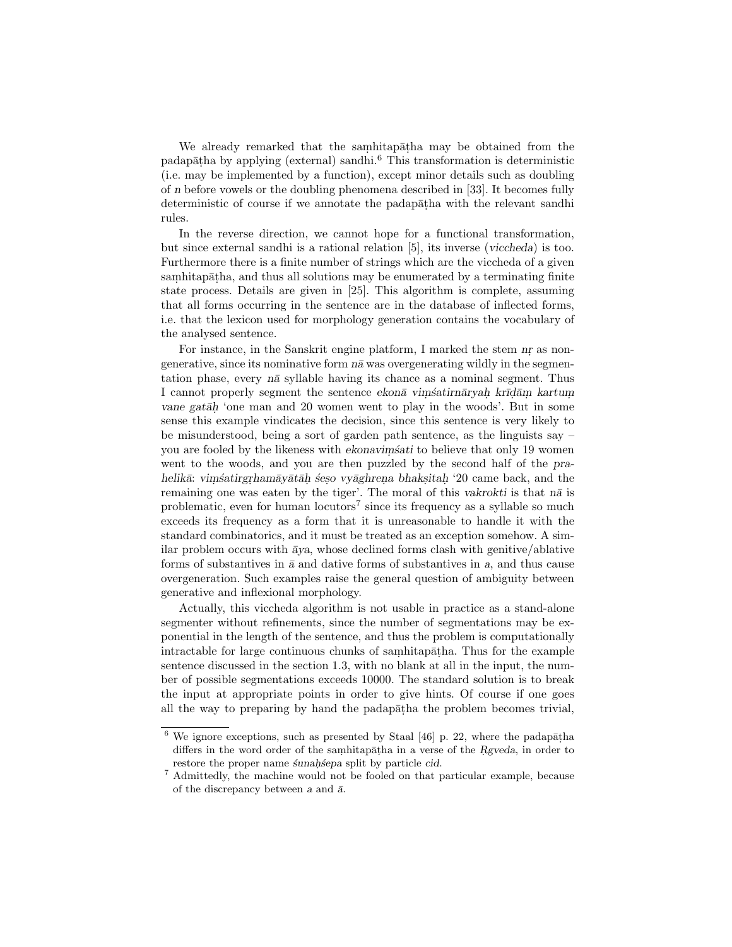We already remarked that the samhitap $\bar{a}$ tha may be obtained from the padap $\bar{a}$ tha by applying (external) sandhi.<sup>6</sup> This transformation is deterministic (i.e. may be implemented by a function), except minor details such as doubling of n before vowels or the doubling phenomena described in [33]. It becomes fully deterministic of course if we annotate the padapatha with the relevant sandhi rules.

In the reverse direction, we cannot hope for a functional transformation, but since external sandhi is a rational relation [5], its inverse (viccheda) is too. Furthermore there is a finite number of strings which are the viccheda of a given samhitapātha, and thus all solutions may be enumerated by a terminating finite state process. Details are given in [25]. This algorithm is complete, assuming that all forms occurring in the sentence are in the database of inflected forms, i.e. that the lexicon used for morphology generation contains the vocabulary of the analysed sentence.

For instance, in the Sanskrit engine platform, I marked the stem  $nr$  as nongenerative, since its nominative form  $n\bar{a}$  was overgenerating wildly in the segmentation phase, every  $n\bar{a}$  syllable having its chance as a nominal segment. Thus I cannot properly segment the sentence ekona vimsatirnaryah krīdam kartum. vane gatāh 'one man and 20 women went to play in the woods'. But in some sense this example vindicates the decision, since this sentence is very likely to be misunderstood, being a sort of garden path sentence, as the linguists say – you are fooled by the likeness with *ekonavimisati* to believe that only 19 women went to the woods, and you are then puzzled by the second half of the prahelikā: vimsátirgrhamāyātāh seso vyāghrena bhaksitah '20 came back, and the remaining one was eaten by the tiger'. The moral of this vakrokti is that  $n\bar{a}$  is problematic, even for human locutors<sup>7</sup> since its frequency as a syllable so much exceeds its frequency as a form that it is unreasonable to handle it with the standard combinatorics, and it must be treated as an exception somehow. A similar problem occurs with  $\bar{a}ya$ , whose declined forms clash with genitive/ablative forms of substantives in  $\bar{a}$  and dative forms of substantives in a, and thus cause overgeneration. Such examples raise the general question of ambiguity between generative and inflexional morphology.

Actually, this viccheda algorithm is not usable in practice as a stand-alone segmenter without refinements, since the number of segmentations may be exponential in the length of the sentence, and thus the problem is computationally intractable for large continuous chunks of samhitap $\bar{a}$ tha. Thus for the example sentence discussed in the section 1.3, with no blank at all in the input, the number of possible segmentations exceeds 10000. The standard solution is to break the input at appropriate points in order to give hints. Of course if one goes all the way to preparing by hand the padapātha the problem becomes trivial,

 $6$  We ignore exceptions, such as presented by Staal [46] p. 22, where the padap $\bar{a}$ tha differs in the word order of the samhitapatha in a verse of the Rgveda, in order to restore the proper name sunahsepa split by particle cid.

<sup>7</sup> Admittedly, the machine would not be fooled on that particular example, because of the discrepancy between  $a$  and  $\bar{a}$ .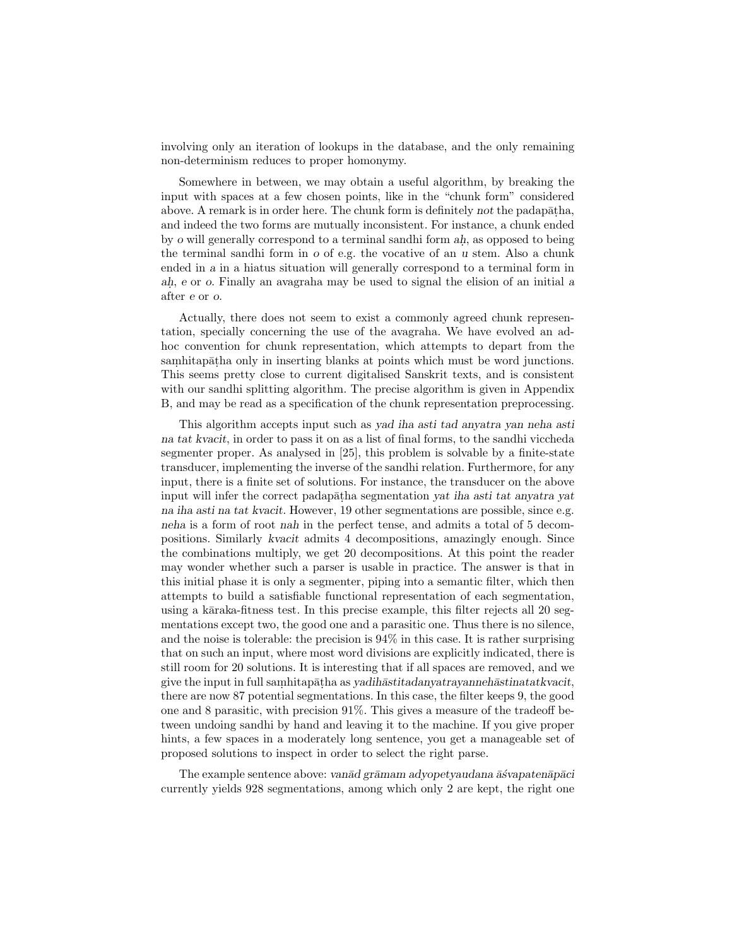involving only an iteration of lookups in the database, and the only remaining non-determinism reduces to proper homonymy.

Somewhere in between, we may obtain a useful algorithm, by breaking the input with spaces at a few chosen points, like in the "chunk form" considered above. A remark is in order here. The chunk form is definitely not the padap $\bar{a}$ tha, and indeed the two forms are mutually inconsistent. For instance, a chunk ended by o will generally correspond to a terminal sandhi form ah. , as opposed to being the terminal sandhi form in o of e.g. the vocative of an u stem. Also a chunk ended in a in a hiatus situation will generally correspond to a terminal form in ah. , e or o. Finally an avagraha may be used to signal the elision of an initial a after e or o.

Actually, there does not seem to exist a commonly agreed chunk representation, specially concerning the use of the avagraha. We have evolved an adhoc convention for chunk representation, which attempts to depart from the samhitap $\bar{a}$ tha only in inserting blanks at points which must be word junctions. This seems pretty close to current digitalised Sanskrit texts, and is consistent with our sandhi splitting algorithm. The precise algorithm is given in Appendix B, and may be read as a specification of the chunk representation preprocessing.

This algorithm accepts input such as yad iha asti tad anyatra yan neha asti na tat kvacit, in order to pass it on as a list of final forms, to the sandhi viccheda segmenter proper. As analysed in [25], this problem is solvable by a finite-state transducer, implementing the inverse of the sandhi relation. Furthermore, for any input, there is a finite set of solutions. For instance, the transducer on the above input will infer the correct padap $\bar{a}$ tha segmentation yat iha asti tat anyatra yat na iha asti na tat kvacit. However, 19 other segmentations are possible, since e.g. neha is a form of root nah in the perfect tense, and admits a total of 5 decompositions. Similarly kvacit admits 4 decompositions, amazingly enough. Since the combinations multiply, we get 20 decompositions. At this point the reader may wonder whether such a parser is usable in practice. The answer is that in this initial phase it is only a segmenter, piping into a semantic filter, which then attempts to build a satisfiable functional representation of each segmentation, using a kāraka-fitness test. In this precise example, this filter rejects all 20 segmentations except two, the good one and a parasitic one. Thus there is no silence, and the noise is tolerable: the precision is 94% in this case. It is rather surprising that on such an input, where most word divisions are explicitly indicated, there is still room for 20 solutions. It is interesting that if all spaces are removed, and we give the input in full samhitap $\bar{a}$ tha as yadih $\bar{a}$ stitadanyatrayanneh $\bar{a}$ stinatatkvacit, there are now 87 potential segmentations. In this case, the filter keeps 9, the good one and 8 parasitic, with precision 91%. This gives a measure of the tradeoff between undoing sandhi by hand and leaving it to the machine. If you give proper hints, a few spaces in a moderately long sentence, you get a manageable set of proposed solutions to inspect in order to select the right parse.

The example sentence above: vanād grāmam adyopetyaudana āsvapatenāpāci currently yields 928 segmentations, among which only 2 are kept, the right one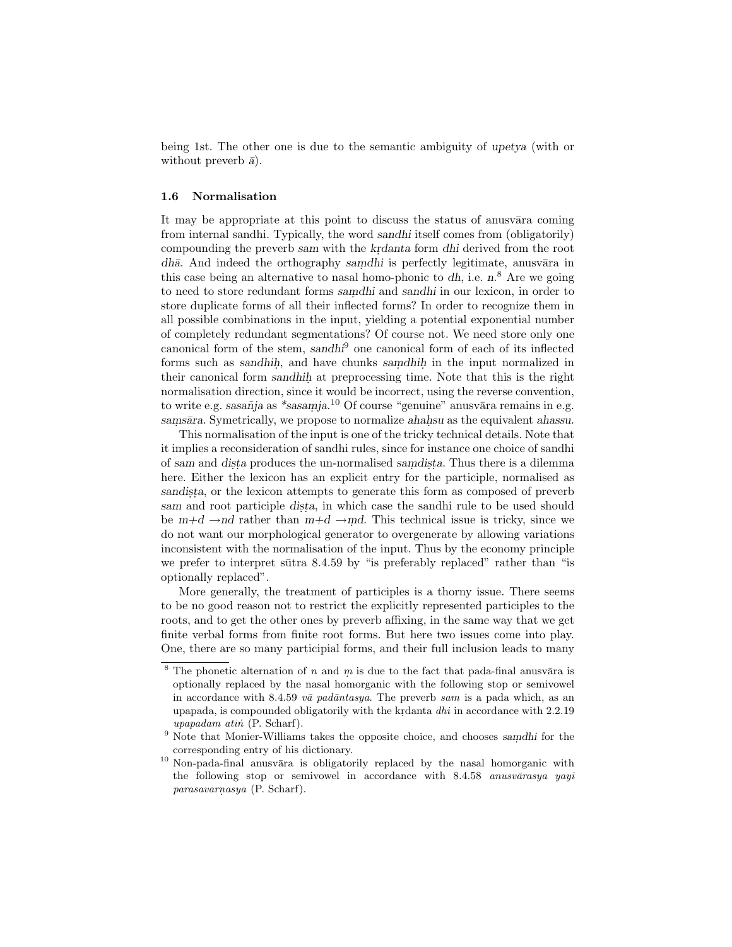being 1st. The other one is due to the semantic ambiguity of upetya (with or without preverb  $\bar{a}$ ).

#### 1.6 Normalisation

It may be appropriate at this point to discuss the status of anusvara coming from internal sandhi. Typically, the word sandhi itself comes from (obligatorily) compounding the preverb sam with the krdanta form dhi derived from the root dhā. And indeed the orthography samdhi is perfectly legitimate, anusvāra in this case being an alternative to nasal homo-phonic to  $dh$ , i.e.  $n<sup>8</sup>$  Are we going to need to store redundant forms samdhi and sandhi in our lexicon, in order to store duplicate forms of all their inflected forms? In order to recognize them in all possible combinations in the input, yielding a potential exponential number of completely redundant segmentations? Of course not. We need store only one canonical form of the stem, sandhi<sup>9</sup> one canonical form of each of its inflected forms such as *sandhih*, and have chunks *samdhih* in the input normalized in their canonical form sandhih. at preprocessing time. Note that this is the right normalisation direction, since it would be incorrect, using the reverse convention, to write e.g. sasañja as \*sasamja.<sup>10</sup> Of course "genuine" anusvāra remains in e.g. samsāra. Symetrically, we propose to normalize ahahsu as the equivalent ahassu.

This normalisation of the input is one of the tricky technical details. Note that it implies a reconsideration of sandhi rules, since for instance one choice of sandhi of sam and dista produces the un-normalised samdista. Thus there is a dilemma here. Either the lexicon has an explicit entry for the participle, normalised as sandista, or the lexicon attempts to generate this form as composed of preverb sam and root participle dista, in which case the sandhi rule to be used should be  $m+d \rightarrow nd$  rather than  $m+d \rightarrow md$ . This technical issue is tricky, since we do not want our morphological generator to overgenerate by allowing variations inconsistent with the normalisation of the input. Thus by the economy principle we prefer to interpret sūtra  $8.4.59$  by "is preferably replaced" rather than "is optionally replaced".

More generally, the treatment of participles is a thorny issue. There seems to be no good reason not to restrict the explicitly represented participles to the roots, and to get the other ones by preverb affixing, in the same way that we get finite verbal forms from finite root forms. But here two issues come into play. One, there are so many participial forms, and their full inclusion leads to many

<sup>&</sup>lt;sup>8</sup> The phonetic alternation of n and  $m$  is due to the fact that pada-final anusvāra is optionally replaced by the nasal homorganic with the following stop or semivowel in accordance with 8.4.59 va pad $\bar{a}$ ntasya. The preverb sam is a pada which, as an upapada, is compounded obligatorily with the krdanta  $dh_i$  in accordance with 2.2.19  $upapadam\ atini$  (P. Scharf).

 $9$  Note that Monier-Williams takes the opposite choice, and chooses samdhi for the corresponding entry of his dictionary.

 $10$  Non-pada-final anusvāra is obligatorily replaced by the nasal homorganic with the following stop or semivowel in accordance with  $8.4.58$  anusvarasya yayi  $para sa varnasya$  (P. Scharf).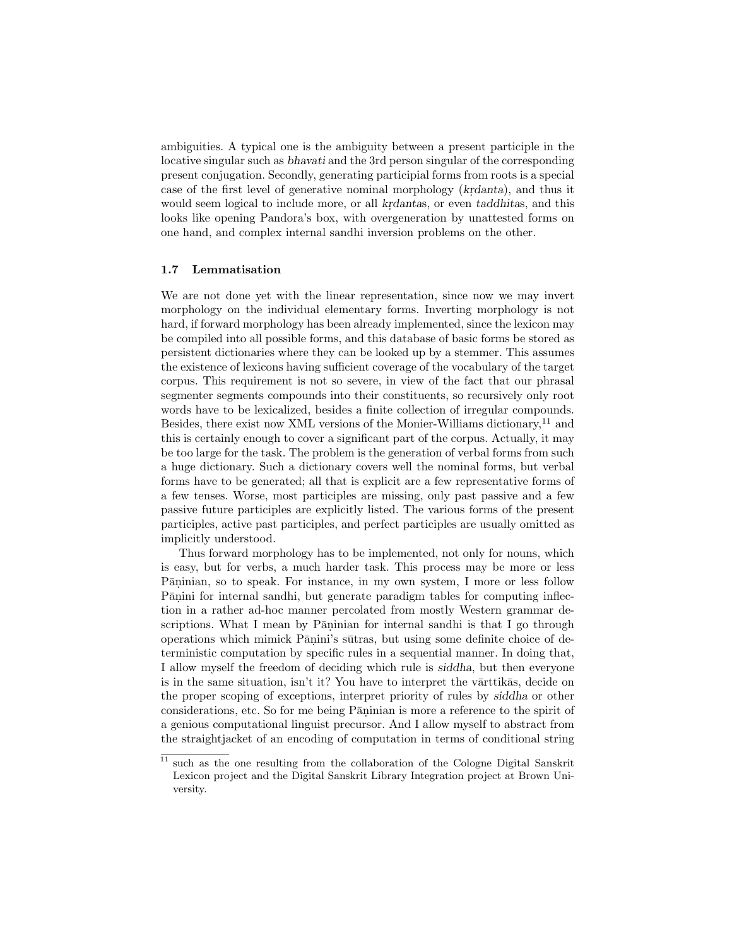ambiguities. A typical one is the ambiguity between a present participle in the locative singular such as bhavati and the 3rd person singular of the corresponding present conjugation. Secondly, generating participial forms from roots is a special case of the first level of generative nominal morphology (krdanta), and thus it would seem logical to include more, or all krdantas, or even taddhitas, and this looks like opening Pandora's box, with overgeneration by unattested forms on one hand, and complex internal sandhi inversion problems on the other.

# 1.7 Lemmatisation

We are not done yet with the linear representation, since now we may invert morphology on the individual elementary forms. Inverting morphology is not hard, if forward morphology has been already implemented, since the lexicon may be compiled into all possible forms, and this database of basic forms be stored as persistent dictionaries where they can be looked up by a stemmer. This assumes the existence of lexicons having sufficient coverage of the vocabulary of the target corpus. This requirement is not so severe, in view of the fact that our phrasal segmenter segments compounds into their constituents, so recursively only root words have to be lexicalized, besides a finite collection of irregular compounds. Besides, there exist now XML versions of the Monier-Williams dictionary,  $11$  and this is certainly enough to cover a significant part of the corpus. Actually, it may be too large for the task. The problem is the generation of verbal forms from such a huge dictionary. Such a dictionary covers well the nominal forms, but verbal forms have to be generated; all that is explicit are a few representative forms of a few tenses. Worse, most participles are missing, only past passive and a few passive future participles are explicitly listed. The various forms of the present participles, active past participles, and perfect participles are usually omitted as implicitly understood.

Thus forward morphology has to be implemented, not only for nouns, which is easy, but for verbs, a much harder task. This process may be more or less Pāṇinian, so to speak. For instance, in my own system, I more or less follow Pāṇini for internal sandhi, but generate paradigm tables for computing inflection in a rather ad-hoc manner percolated from mostly Western grammar descriptions. What I mean by Pāṇinian for internal sandhi is that I go through operations which mimick Pāṇini's sūtras, but using some definite choice of deterministic computation by specific rules in a sequential manner. In doing that, I allow myself the freedom of deciding which rule is siddha, but then everyone is in the same situation, isn't it? You have to interpret the v $\bar{\text{arttik}}$ as, decide on the proper scoping of exceptions, interpret priority of rules by siddha or other considerations, etc. So for me being Pāṇinian is more a reference to the spirit of a genious computational linguist precursor. And I allow myself to abstract from the straightjacket of an encoding of computation in terms of conditional string

<sup>&</sup>lt;sup>11</sup> such as the one resulting from the collaboration of the Cologne Digital Sanskrit Lexicon project and the Digital Sanskrit Library Integration project at Brown University.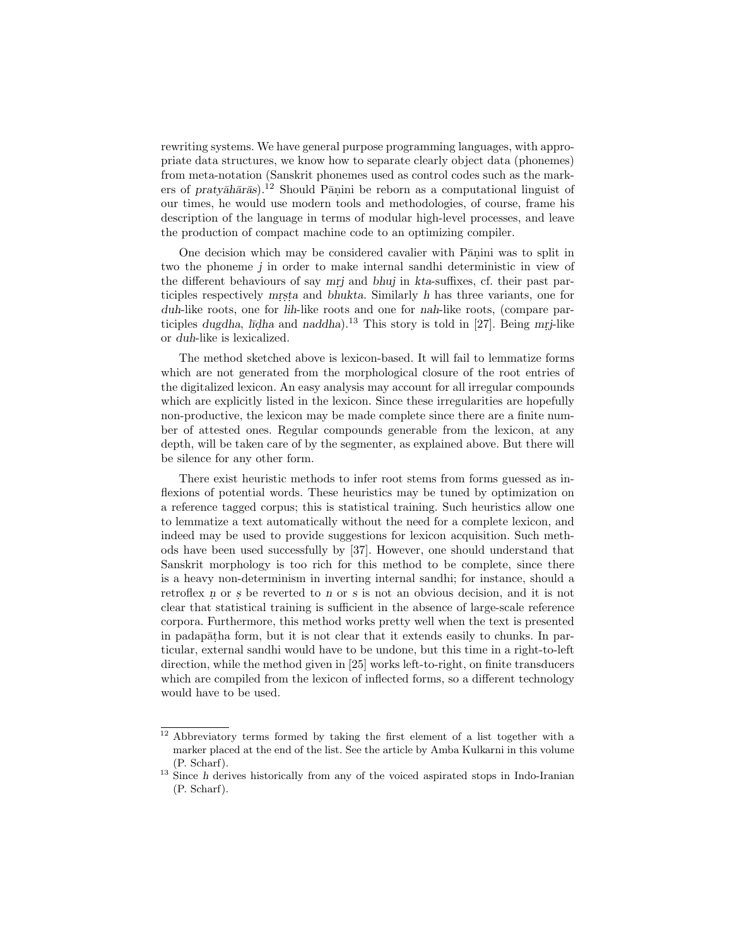rewriting systems. We have general purpose programming languages, with appropriate data structures, we know how to separate clearly object data (phonemes) from meta-notation (Sanskrit phonemes used as control codes such as the markers of  $praty\bar{a}h\bar{a}r\bar{a}s$ ).<sup>12</sup> Should P $\bar{a}$ nini be reborn as a computational linguist of our times, he would use modern tools and methodologies, of course, frame his description of the language in terms of modular high-level processes, and leave the production of compact machine code to an optimizing compiler.

One decision which may be considered cavalier with Pāṇini was to split in two the phoneme j in order to make internal sandhi deterministic in view of the different behaviours of say mrj and bhuj in kta-suffixes, cf. their past participles respectively mista and bhukta. Similarly h has three variants, one for duh-like roots, one for lih-like roots and one for nah-like roots, (compare participles dugdha, līdha and naddha).<sup>13</sup> This story is told in [27]. Being mr. j-like or duh-like is lexicalized.

The method sketched above is lexicon-based. It will fail to lemmatize forms which are not generated from the morphological closure of the root entries of the digitalized lexicon. An easy analysis may account for all irregular compounds which are explicitly listed in the lexicon. Since these irregularities are hopefully non-productive, the lexicon may be made complete since there are a finite number of attested ones. Regular compounds generable from the lexicon, at any depth, will be taken care of by the segmenter, as explained above. But there will be silence for any other form.

There exist heuristic methods to infer root stems from forms guessed as inflexions of potential words. These heuristics may be tuned by optimization on a reference tagged corpus; this is statistical training. Such heuristics allow one to lemmatize a text automatically without the need for a complete lexicon, and indeed may be used to provide suggestions for lexicon acquisition. Such methods have been used successfully by [37]. However, one should understand that Sanskrit morphology is too rich for this method to be complete, since there is a heavy non-determinism in inverting internal sandhi; for instance, should a retroflex n or s be reverted to n or s is not an obvious decision, and it is not clear that statistical training is sufficient in the absence of large-scale reference corpora. Furthermore, this method works pretty well when the text is presented in padap $\bar{a}$ tha form, but it is not clear that it extends easily to chunks. In particular, external sandhi would have to be undone, but this time in a right-to-left direction, while the method given in [25] works left-to-right, on finite transducers which are compiled from the lexicon of inflected forms, so a different technology would have to be used.

<sup>&</sup>lt;sup>12</sup> Abbreviatory terms formed by taking the first element of a list together with a marker placed at the end of the list. See the article by Amba Kulkarni in this volume (P. Scharf).

 $13$  Since h derives historically from any of the voiced aspirated stops in Indo-Iranian (P. Scharf).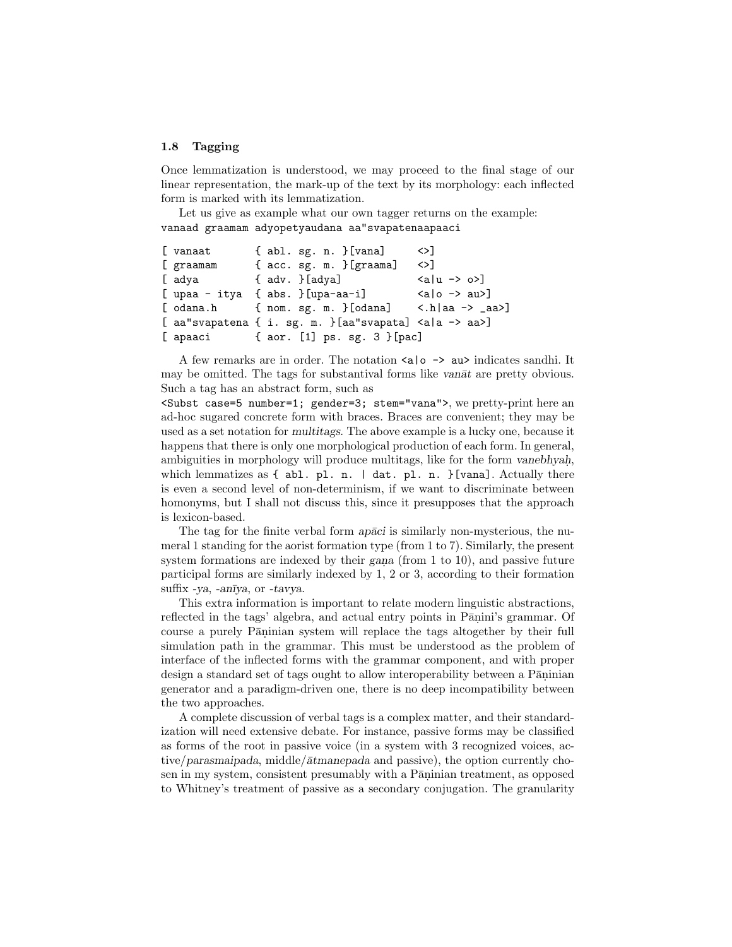## 1.8 Tagging

Once lemmatization is understood, we may proceed to the final stage of our linear representation, the mark-up of the text by its morphology: each inflected form is marked with its lemmatization.

Let us give as example what our own tagger returns on the example: vanaad graamam adyopetyaudana aa"svapatenaapaaci

| [ vanaat  | $\{ abl. sg. n. \}$ [vana]                                        | $\leftrightarrow$ ]                           |
|-----------|-------------------------------------------------------------------|-----------------------------------------------|
| [ graamam | $\{acc. sg. m. \}$ [graama]                                       | $\leftrightarrow$ ]                           |
|           | [adya {adv.}[adya]                                                | $\langle a u \rangle$ $\rightarrow$ $\circ$ ) |
|           | [ upaa - itya { abs. }[upa-aa-i]                                  | $\langle$ alo -> au>]                         |
|           | $[odana.h \t{nom.sg.m. }[odana] \t{lambda-s}aa>]$                 |                                               |
|           | [aa"svapatena { i. sg. m. } [aa"svapata] <a a -=""> aa&gt;]</a a> |                                               |
| [ apaaci  | { aor. [1] ps. sg. 3 } [pac]                                      |                                               |

A few remarks are in order. The notation  $\langle a | o \rangle$  and  $\langle a | o \rangle$  and  $\langle a | o \rangle$  and  $\langle b | o \rangle$ may be omitted. The tags for substantival forms like van $\bar{a}t$  are pretty obvious. Such a tag has an abstract form, such as

<Subst case=5 number=1; gender=3; stem="vana">, we pretty-print here an ad-hoc sugared concrete form with braces. Braces are convenient; they may be used as a set notation for multitags. The above example is a lucky one, because it happens that there is only one morphological production of each form. In general, ambiguities in morphology will produce multitags, like for the form vanebhyah, which lemmatizes as { abl. pl. n. | dat. pl. n. }[vana]. Actually there is even a second level of non-determinism, if we want to discriminate between homonyms, but I shall not discuss this, since it presupposes that the approach is lexicon-based.

The tag for the finite verbal form apaci is similarly non-mysterious, the numeral 1 standing for the aorist formation type (from 1 to 7). Similarly, the present system formations are indexed by their gana (from 1 to 10), and passive future participal forms are similarly indexed by 1, 2 or 3, according to their formation suffix -ya, -an $\bar{I}$ ya, or -tavya.

This extra information is important to relate modern linguistic abstractions, reflected in the tags' algebra, and actual entry points in Pāṇini's grammar. Of course a purely Pāṇinian system will replace the tags altogether by their full simulation path in the grammar. This must be understood as the problem of interface of the inflected forms with the grammar component, and with proper design a standard set of tags ought to allow interoperability between a  $\mathbf{P}{\bar{\text{a}}}$  ninian generator and a paradigm-driven one, there is no deep incompatibility between the two approaches.

A complete discussion of verbal tags is a complex matter, and their standardization will need extensive debate. For instance, passive forms may be classified as forms of the root in passive voice (in a system with 3 recognized voices, active/parasmaipada, middle/ $\bar{a}$ tmanepada and passive), the option currently chosen in my system, consistent presumably with a Pāṇinian treatment, as opposed to Whitney's treatment of passive as a secondary conjugation. The granularity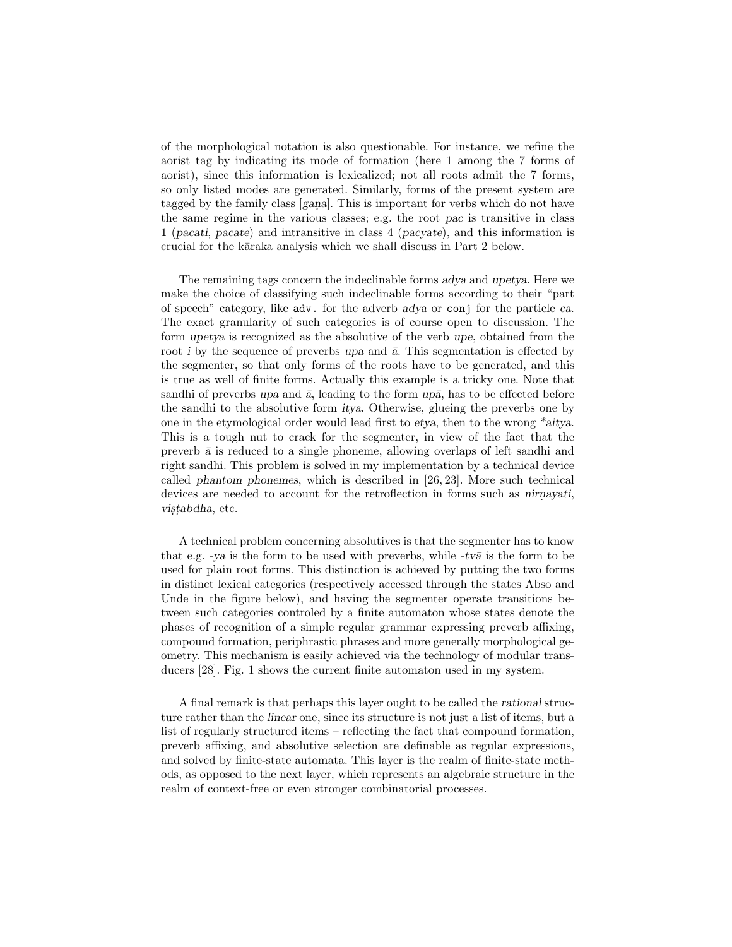of the morphological notation is also questionable. For instance, we refine the aorist tag by indicating its mode of formation (here 1 among the 7 forms of aorist), since this information is lexicalized; not all roots admit the 7 forms, so only listed modes are generated. Similarly, forms of the present system are tagged by the family class [gana]. This is important for verbs which do not have the same regime in the various classes; e.g. the root pac is transitive in class 1 (pacati, pacate) and intransitive in class 4 (pacyate), and this information is crucial for the kāraka analysis which we shall discuss in Part 2 below.

The remaining tags concern the indeclinable forms adya and upetya. Here we make the choice of classifying such indeclinable forms according to their "part of speech" category, like adv. for the adverb adya or conj for the particle ca. The exact granularity of such categories is of course open to discussion. The form upetya is recognized as the absolutive of the verb upe, obtained from the root *i* by the sequence of preverbs upa and  $\bar{a}$ . This segmentation is effected by the segmenter, so that only forms of the roots have to be generated, and this is true as well of finite forms. Actually this example is a tricky one. Note that sandhi of preverbs upa and  $\bar{a}$ , leading to the form up $\bar{a}$ , has to be effected before the sandhi to the absolutive form itya. Otherwise, glueing the preverbs one by one in the etymological order would lead first to etya, then to the wrong \*aitya. This is a tough nut to crack for the segmenter, in view of the fact that the preverb  $\bar{a}$  is reduced to a single phoneme, allowing overlaps of left sandhi and right sandhi. This problem is solved in my implementation by a technical device called phantom phonemes, which is described in [26, 23]. More such technical devices are needed to account for the retroflection in forms such as nirnayati, vistabdha, etc.

A technical problem concerning absolutives is that the segmenter has to know that e.g. -ya is the form to be used with preverbs, while -tv $\bar{a}$  is the form to be used for plain root forms. This distinction is achieved by putting the two forms in distinct lexical categories (respectively accessed through the states Abso and Unde in the figure below), and having the segmenter operate transitions between such categories controled by a finite automaton whose states denote the phases of recognition of a simple regular grammar expressing preverb affixing, compound formation, periphrastic phrases and more generally morphological geometry. This mechanism is easily achieved via the technology of modular transducers [28]. Fig. 1 shows the current finite automaton used in my system.

A final remark is that perhaps this layer ought to be called the rational structure rather than the linear one, since its structure is not just a list of items, but a list of regularly structured items – reflecting the fact that compound formation, preverb affixing, and absolutive selection are definable as regular expressions, and solved by finite-state automata. This layer is the realm of finite-state methods, as opposed to the next layer, which represents an algebraic structure in the realm of context-free or even stronger combinatorial processes.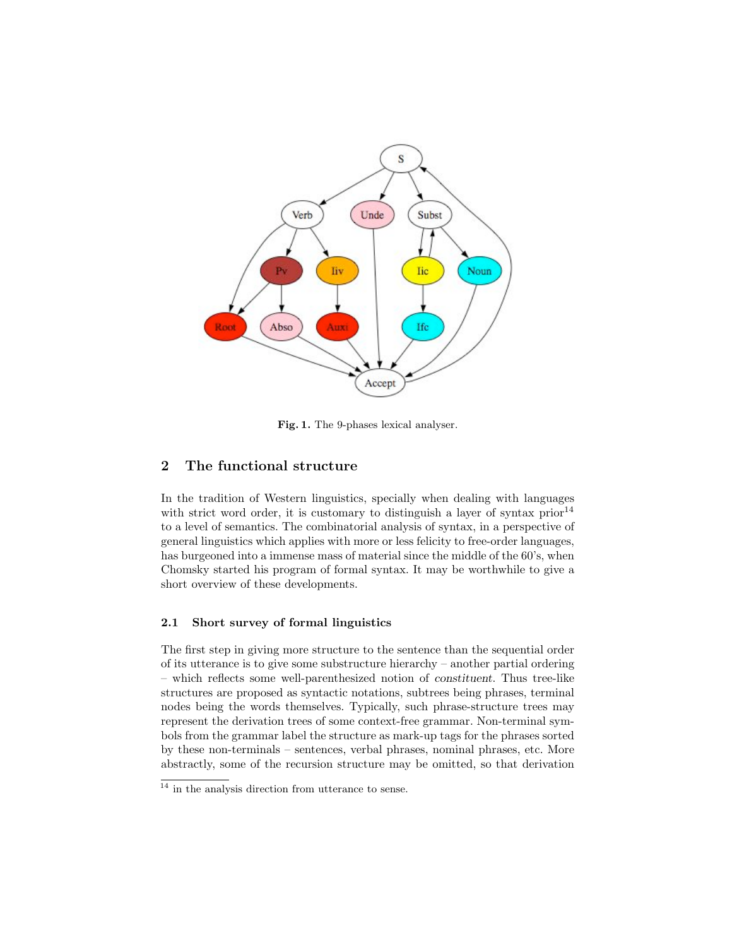

Fig. 1. The 9-phases lexical analyser.

# 2 The functional structure

In the tradition of Western linguistics, specially when dealing with languages with strict word order, it is customary to distinguish a layer of syntax  $prior^{14}$ to a level of semantics. The combinatorial analysis of syntax, in a perspective of general linguistics which applies with more or less felicity to free-order languages, has burgeoned into a immense mass of material since the middle of the 60's, when Chomsky started his program of formal syntax. It may be worthwhile to give a short overview of these developments.

## 2.1 Short survey of formal linguistics

The first step in giving more structure to the sentence than the sequential order of its utterance is to give some substructure hierarchy – another partial ordering – which reflects some well-parenthesized notion of constituent. Thus tree-like structures are proposed as syntactic notations, subtrees being phrases, terminal nodes being the words themselves. Typically, such phrase-structure trees may represent the derivation trees of some context-free grammar. Non-terminal symbols from the grammar label the structure as mark-up tags for the phrases sorted by these non-terminals – sentences, verbal phrases, nominal phrases, etc. More abstractly, some of the recursion structure may be omitted, so that derivation

 $\frac{1}{14}$  in the analysis direction from utterance to sense.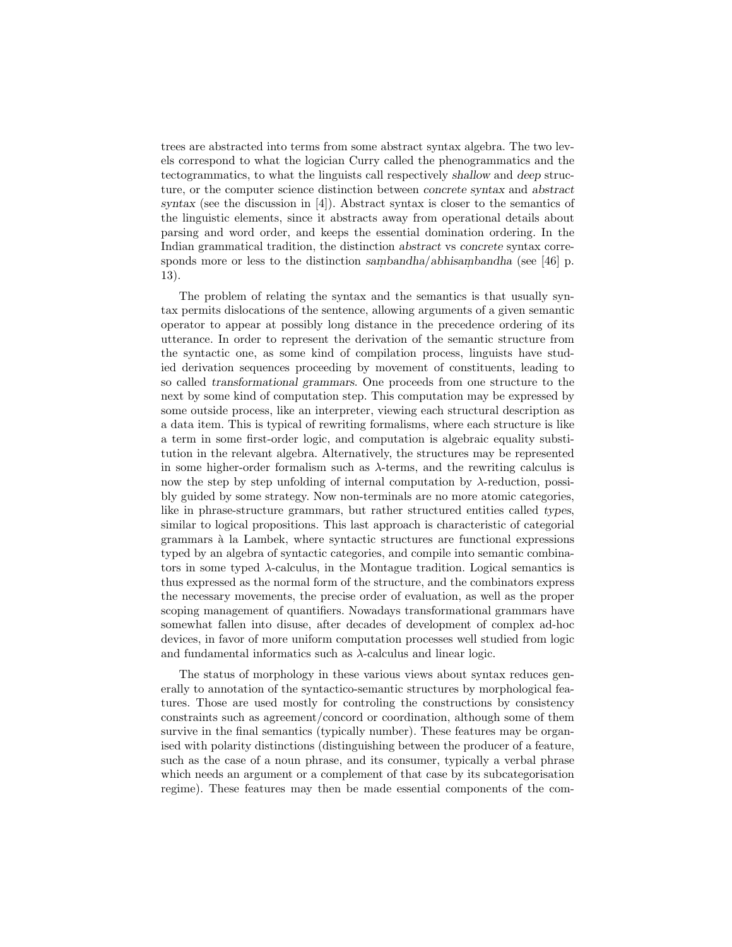trees are abstracted into terms from some abstract syntax algebra. The two levels correspond to what the logician Curry called the phenogrammatics and the tectogrammatics, to what the linguists call respectively shallow and deep structure, or the computer science distinction between concrete syntax and abstract syntax (see the discussion in [4]). Abstract syntax is closer to the semantics of the linguistic elements, since it abstracts away from operational details about parsing and word order, and keeps the essential domination ordering. In the Indian grammatical tradition, the distinction abstract vs concrete syntax corresponds more or less to the distinction sambandha/abhisambandha (see [46] p. 13).

The problem of relating the syntax and the semantics is that usually syntax permits dislocations of the sentence, allowing arguments of a given semantic operator to appear at possibly long distance in the precedence ordering of its utterance. In order to represent the derivation of the semantic structure from the syntactic one, as some kind of compilation process, linguists have studied derivation sequences proceeding by movement of constituents, leading to so called transformational grammars. One proceeds from one structure to the next by some kind of computation step. This computation may be expressed by some outside process, like an interpreter, viewing each structural description as a data item. This is typical of rewriting formalisms, where each structure is like a term in some first-order logic, and computation is algebraic equality substitution in the relevant algebra. Alternatively, the structures may be represented in some higher-order formalism such as  $\lambda$ -terms, and the rewriting calculus is now the step by step unfolding of internal computation by  $\lambda$ -reduction, possibly guided by some strategy. Now non-terminals are no more atomic categories, like in phrase-structure grammars, but rather structured entities called types, similar to logical propositions. This last approach is characteristic of categorial grammars à la Lambek, where syntactic structures are functional expressions typed by an algebra of syntactic categories, and compile into semantic combinators in some typed  $\lambda$ -calculus, in the Montague tradition. Logical semantics is thus expressed as the normal form of the structure, and the combinators express the necessary movements, the precise order of evaluation, as well as the proper scoping management of quantifiers. Nowadays transformational grammars have somewhat fallen into disuse, after decades of development of complex ad-hoc devices, in favor of more uniform computation processes well studied from logic and fundamental informatics such as  $\lambda$ -calculus and linear logic.

The status of morphology in these various views about syntax reduces generally to annotation of the syntactico-semantic structures by morphological features. Those are used mostly for controling the constructions by consistency constraints such as agreement/concord or coordination, although some of them survive in the final semantics (typically number). These features may be organised with polarity distinctions (distinguishing between the producer of a feature, such as the case of a noun phrase, and its consumer, typically a verbal phrase which needs an argument or a complement of that case by its subcategorisation regime). These features may then be made essential components of the com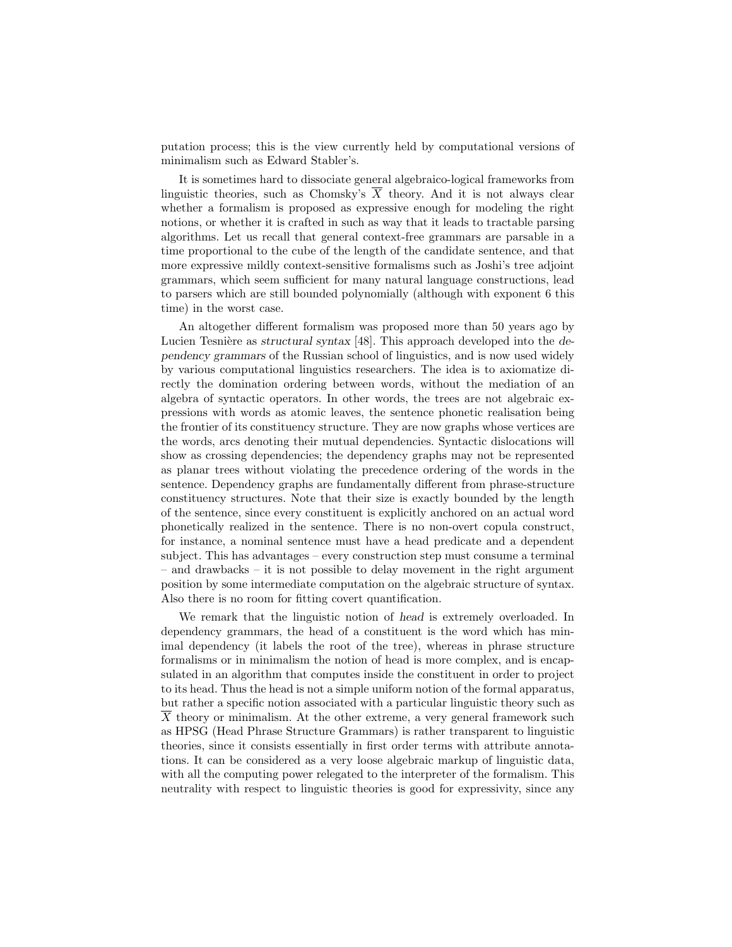putation process; this is the view currently held by computational versions of minimalism such as Edward Stabler's.

It is sometimes hard to dissociate general algebraico-logical frameworks from linguistic theories, such as Chomsky's  $\overline{X}$  theory. And it is not always clear whether a formalism is proposed as expressive enough for modeling the right notions, or whether it is crafted in such as way that it leads to tractable parsing algorithms. Let us recall that general context-free grammars are parsable in a time proportional to the cube of the length of the candidate sentence, and that more expressive mildly context-sensitive formalisms such as Joshi's tree adjoint grammars, which seem sufficient for many natural language constructions, lead to parsers which are still bounded polynomially (although with exponent 6 this time) in the worst case.

An altogether different formalism was proposed more than 50 years ago by Lucien Tesnière as structural syntax  $[48]$ . This approach developed into the dependency grammars of the Russian school of linguistics, and is now used widely by various computational linguistics researchers. The idea is to axiomatize directly the domination ordering between words, without the mediation of an algebra of syntactic operators. In other words, the trees are not algebraic expressions with words as atomic leaves, the sentence phonetic realisation being the frontier of its constituency structure. They are now graphs whose vertices are the words, arcs denoting their mutual dependencies. Syntactic dislocations will show as crossing dependencies; the dependency graphs may not be represented as planar trees without violating the precedence ordering of the words in the sentence. Dependency graphs are fundamentally different from phrase-structure constituency structures. Note that their size is exactly bounded by the length of the sentence, since every constituent is explicitly anchored on an actual word phonetically realized in the sentence. There is no non-overt copula construct, for instance, a nominal sentence must have a head predicate and a dependent subject. This has advantages – every construction step must consume a terminal – and drawbacks – it is not possible to delay movement in the right argument position by some intermediate computation on the algebraic structure of syntax. Also there is no room for fitting covert quantification.

We remark that the linguistic notion of head is extremely overloaded. In dependency grammars, the head of a constituent is the word which has minimal dependency (it labels the root of the tree), whereas in phrase structure formalisms or in minimalism the notion of head is more complex, and is encapsulated in an algorithm that computes inside the constituent in order to project to its head. Thus the head is not a simple uniform notion of the formal apparatus, but rather a specific notion associated with a particular linguistic theory such as  $\overline{X}$  theory or minimalism. At the other extreme, a very general framework such as HPSG (Head Phrase Structure Grammars) is rather transparent to linguistic theories, since it consists essentially in first order terms with attribute annotations. It can be considered as a very loose algebraic markup of linguistic data, with all the computing power relegated to the interpreter of the formalism. This neutrality with respect to linguistic theories is good for expressivity, since any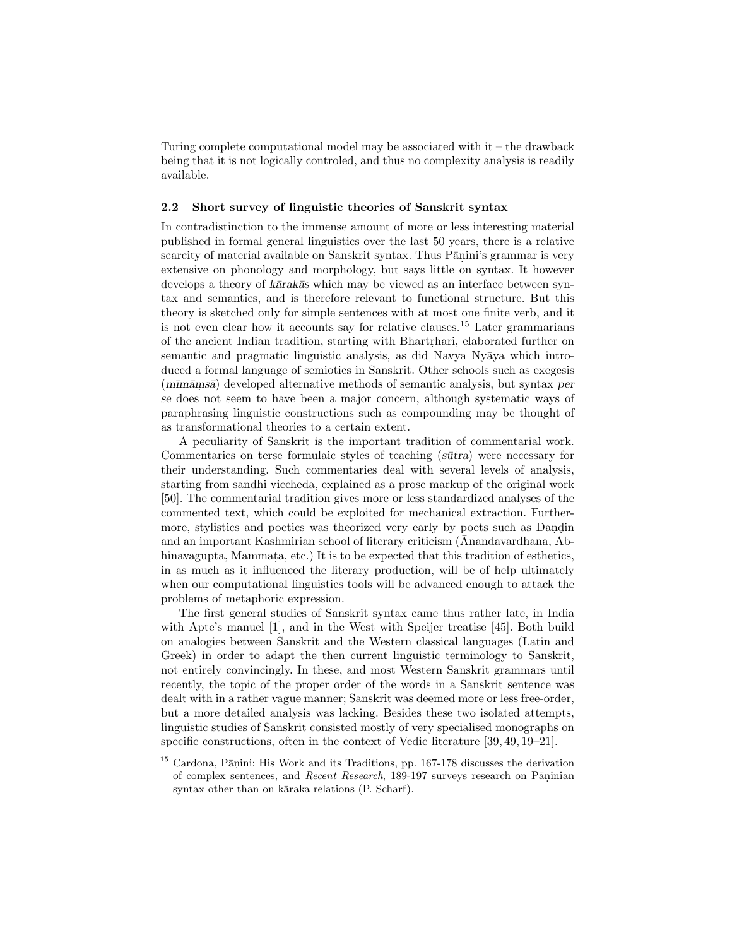Turing complete computational model may be associated with it – the drawback being that it is not logically controled, and thus no complexity analysis is readily available.

#### 2.2 Short survey of linguistic theories of Sanskrit syntax

In contradistinction to the immense amount of more or less interesting material published in formal general linguistics over the last 50 years, there is a relative scarcity of material available on Sanskrit syntax. Thus Pāṇini's grammar is very extensive on phonology and morphology, but says little on syntax. It however develops a theory of kārakās which may be viewed as an interface between syntax and semantics, and is therefore relevant to functional structure. But this theory is sketched only for simple sentences with at most one finite verb, and it is not even clear how it accounts say for relative clauses.<sup>15</sup> Later grammarians of the ancient Indian tradition, starting with Bhartrhari, elaborated further on semantic and pragmatic linguistic analysis, as did Navya Nyaya which introduced a formal language of semiotics in Sanskrit. Other schools such as exegesis (mīmāmsā) developed alternative methods of semantic analysis, but syntax per se does not seem to have been a major concern, although systematic ways of paraphrasing linguistic constructions such as compounding may be thought of as transformational theories to a certain extent.

A peculiarity of Sanskrit is the important tradition of commentarial work. Commentaries on terse formulaic styles of teaching  $(s\bar{u}tra)$  were necessary for their understanding. Such commentaries deal with several levels of analysis, starting from sandhi viccheda, explained as a prose markup of the original work [50]. The commentarial tradition gives more or less standardized analyses of the commented text, which could be exploited for mechanical extraction. Furthermore, stylistics and poetics was theorized very early by poets such as Dandin and an important Kashmirian school of literary criticism (Anandavardhana, Abhinavagupta, Mammata, etc.) It is to be expected that this tradition of esthetics, in as much as it influenced the literary production, will be of help ultimately when our computational linguistics tools will be advanced enough to attack the problems of metaphoric expression.

The first general studies of Sanskrit syntax came thus rather late, in India with Apte's manuel [1], and in the West with Speijer treatise [45]. Both build on analogies between Sanskrit and the Western classical languages (Latin and Greek) in order to adapt the then current linguistic terminology to Sanskrit, not entirely convincingly. In these, and most Western Sanskrit grammars until recently, the topic of the proper order of the words in a Sanskrit sentence was dealt with in a rather vague manner; Sanskrit was deemed more or less free-order, but a more detailed analysis was lacking. Besides these two isolated attempts, linguistic studies of Sanskrit consisted mostly of very specialised monographs on specific constructions, often in the context of Vedic literature [39, 49, 19–21].

 $15$  Cardona, Pāṇini: His Work and its Traditions, pp. 167-178 discusses the derivation of complex sentences, and Recent Research, 189-197 surveys research on Pāṇinian syntax other than on kāraka relations (P. Scharf).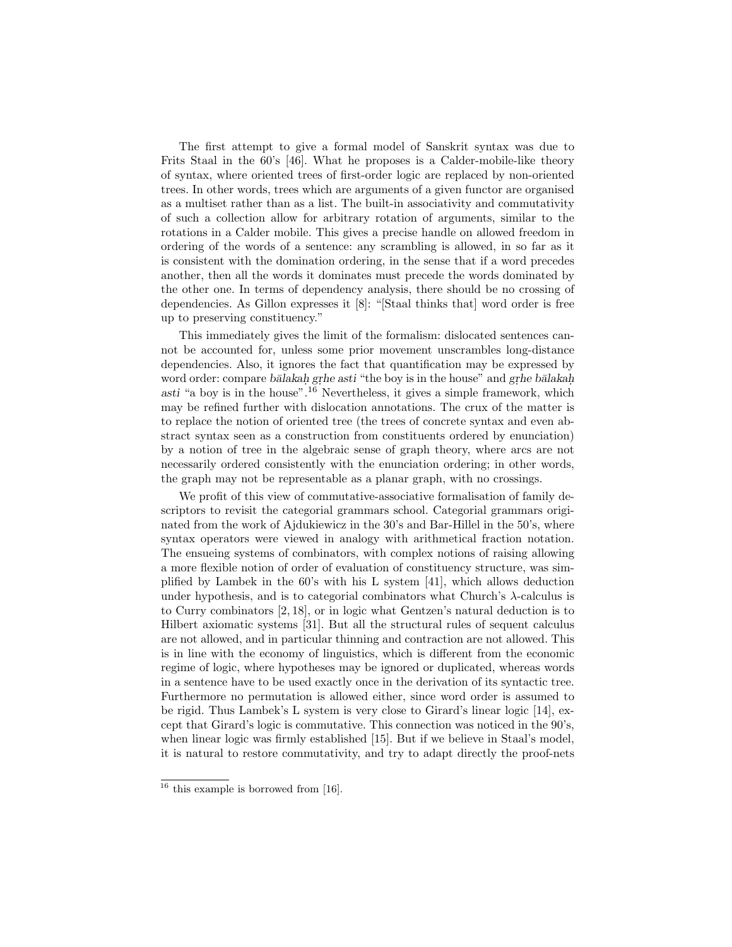The first attempt to give a formal model of Sanskrit syntax was due to Frits Staal in the 60's [46]. What he proposes is a Calder-mobile-like theory of syntax, where oriented trees of first-order logic are replaced by non-oriented trees. In other words, trees which are arguments of a given functor are organised as a multiset rather than as a list. The built-in associativity and commutativity of such a collection allow for arbitrary rotation of arguments, similar to the rotations in a Calder mobile. This gives a precise handle on allowed freedom in ordering of the words of a sentence: any scrambling is allowed, in so far as it is consistent with the domination ordering, in the sense that if a word precedes another, then all the words it dominates must precede the words dominated by the other one. In terms of dependency analysis, there should be no crossing of dependencies. As Gillon expresses it [8]: "[Staal thinks that] word order is free up to preserving constituency."

This immediately gives the limit of the formalism: dislocated sentences cannot be accounted for, unless some prior movement unscrambles long-distance dependencies. Also, it ignores the fact that quantification may be expressed by word order: compare balakah grhe asti "the boy is in the house" and grhe balakah asti "a boy is in the house".<sup>16</sup> Nevertheless, it gives a simple framework, which may be refined further with dislocation annotations. The crux of the matter is to replace the notion of oriented tree (the trees of concrete syntax and even abstract syntax seen as a construction from constituents ordered by enunciation) by a notion of tree in the algebraic sense of graph theory, where arcs are not necessarily ordered consistently with the enunciation ordering; in other words, the graph may not be representable as a planar graph, with no crossings.

We profit of this view of commutative-associative formalisation of family descriptors to revisit the categorial grammars school. Categorial grammars originated from the work of Ajdukiewicz in the 30's and Bar-Hillel in the 50's, where syntax operators were viewed in analogy with arithmetical fraction notation. The ensueing systems of combinators, with complex notions of raising allowing a more flexible notion of order of evaluation of constituency structure, was simplified by Lambek in the 60's with his L system [41], which allows deduction under hypothesis, and is to categorial combinators what Church's  $\lambda$ -calculus is to Curry combinators [2, 18], or in logic what Gentzen's natural deduction is to Hilbert axiomatic systems [31]. But all the structural rules of sequent calculus are not allowed, and in particular thinning and contraction are not allowed. This is in line with the economy of linguistics, which is different from the economic regime of logic, where hypotheses may be ignored or duplicated, whereas words in a sentence have to be used exactly once in the derivation of its syntactic tree. Furthermore no permutation is allowed either, since word order is assumed to be rigid. Thus Lambek's L system is very close to Girard's linear logic [14], except that Girard's logic is commutative. This connection was noticed in the 90's, when linear logic was firmly established [15]. But if we believe in Staal's model, it is natural to restore commutativity, and try to adapt directly the proof-nets

 $\frac{16}{16}$  this example is borrowed from [16].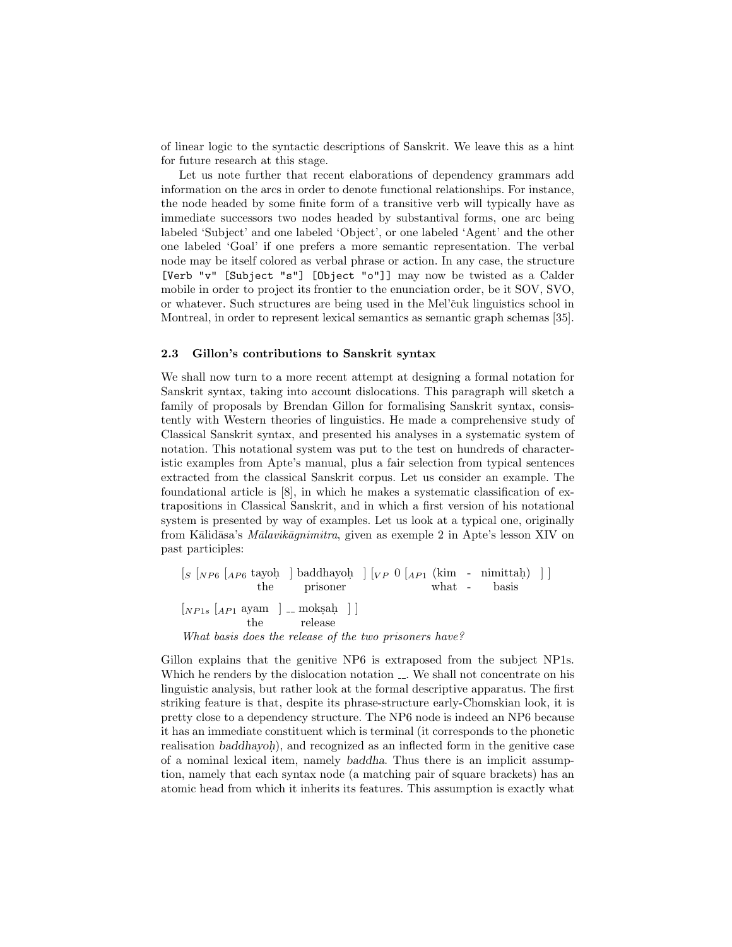of linear logic to the syntactic descriptions of Sanskrit. We leave this as a hint for future research at this stage.

Let us note further that recent elaborations of dependency grammars add information on the arcs in order to denote functional relationships. For instance, the node headed by some finite form of a transitive verb will typically have as immediate successors two nodes headed by substantival forms, one arc being labeled 'Subject' and one labeled 'Object', or one labeled 'Agent' and the other one labeled 'Goal' if one prefers a more semantic representation. The verbal node may be itself colored as verbal phrase or action. In any case, the structure [Verb "v" [Subject "s"] [Object "o"]] may now be twisted as a Calder mobile in order to project its frontier to the enunciation order, be it SOV, SVO, or whatever. Such structures are being used in the Mel'ˇcuk linguistics school in Montreal, in order to represent lexical semantics as semantic graph schemas [35].

#### 2.3 Gillon's contributions to Sanskrit syntax

We shall now turn to a more recent attempt at designing a formal notation for Sanskrit syntax, taking into account dislocations. This paragraph will sketch a family of proposals by Brendan Gillon for formalising Sanskrit syntax, consistently with Western theories of linguistics. He made a comprehensive study of Classical Sanskrit syntax, and presented his analyses in a systematic system of notation. This notational system was put to the test on hundreds of characteristic examples from Apte's manual, plus a fair selection from typical sentences extracted from the classical Sanskrit corpus. Let us consider an example. The foundational article is [8], in which he makes a systematic classification of extrapositions in Classical Sanskrit, and in which a first version of his notational system is presented by way of examples. Let us look at a typical one, originally from Kālidāsa's Mālavikāgnimitra, given as exemple 2 in Apte's lesson XIV on past participles:

 $\begin{bmatrix} S \end{bmatrix} NP_6$  [ $AP_6$  tayoh. ] baddhayoh. ]  $\begin{bmatrix} VP & 0 \end{bmatrix} AP_1$  (kim - nimittah).] the prisoner what basis  $[NP1s [AP1$  ayam  $]$  \_ moksah  $]$ the release What basis does the release of the two prisoners have?

Gillon explains that the genitive NP6 is extraposed from the subject NP1s. Which he renders by the dislocation notation  $\Box$ . We shall not concentrate on his linguistic analysis, but rather look at the formal descriptive apparatus. The first striking feature is that, despite its phrase-structure early-Chomskian look, it is pretty close to a dependency structure. The NP6 node is indeed an NP6 because it has an immediate constituent which is terminal (it corresponds to the phonetic realisation baddhayoh), and recognized as an inflected form in the genitive case of a nominal lexical item, namely baddha. Thus there is an implicit assumption, namely that each syntax node (a matching pair of square brackets) has an atomic head from which it inherits its features. This assumption is exactly what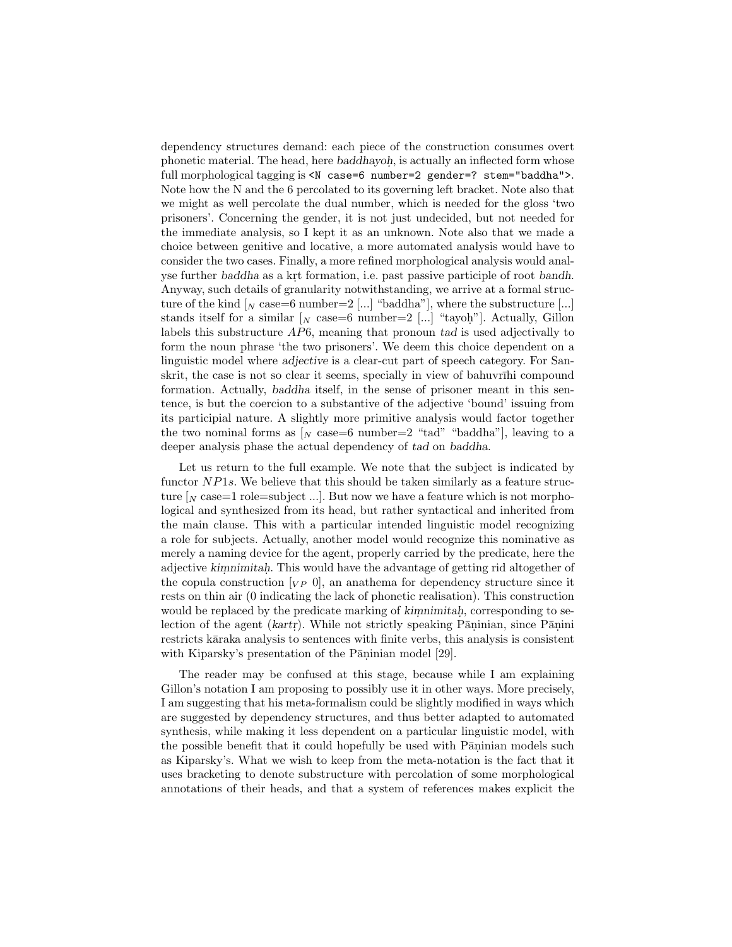dependency structures demand: each piece of the construction consumes overt phonetic material. The head, here *baddhayoh*, is actually an inflected form whose full morphological tagging is <N case=6 number=2 gender=? stem="baddha">. Note how the N and the 6 percolated to its governing left bracket. Note also that we might as well percolate the dual number, which is needed for the gloss 'two prisoners'. Concerning the gender, it is not just undecided, but not needed for the immediate analysis, so I kept it as an unknown. Note also that we made a choice between genitive and locative, a more automated analysis would have to consider the two cases. Finally, a more refined morphological analysis would analyse further baddha as a krt formation, i.e. past passive participle of root bandh. Anyway, such details of granularity notwithstanding, we arrive at a formal structure of the kind  $N$  case=6 number=2 [...] "baddha"], where the substructure [...] stands itself for a similar  $\lceil_{N} \text{ case}=6 \text{ number}=2 \ldots \rceil$  "tayoh". Actually, Gillon labels this substructure AP6, meaning that pronoun tad is used adjectivally to form the noun phrase 'the two prisoners'. We deem this choice dependent on a linguistic model where adjective is a clear-cut part of speech category. For Sanskrit, the case is not so clear it seems, specially in view of bahuvr $\overline{a}$ hi compound formation. Actually, baddha itself, in the sense of prisoner meant in this sentence, is but the coercion to a substantive of the adjective 'bound' issuing from its participial nature. A slightly more primitive analysis would factor together the two nominal forms as  $\vert_N$  case=6 number=2 "tad" "baddha"], leaving to a deeper analysis phase the actual dependency of tad on baddha.

Let us return to the full example. We note that the subject is indicated by functor  $NP1s$ . We believe that this should be taken similarly as a feature structure  $N$  case=1 role=subject ...]. But now we have a feature which is not morphological and synthesized from its head, but rather syntactical and inherited from the main clause. This with a particular intended linguistic model recognizing a role for subjects. Actually, another model would recognize this nominative as merely a naming device for the agent, properly carried by the predicate, here the adjective kimnimitah. This would have the advantage of getting rid altogether of the copula construction  $[\nabla P \ 0]$ , an anathema for dependency structure since it rests on thin air (0 indicating the lack of phonetic realisation). This construction would be replaced by the predicate marking of kimnimitah, corresponding to selection of the agent (kartr). While not strictly speaking Pāṇinian, since Pāṇini restricts kāraka analysis to sentences with finite verbs, this analysis is consistent with Kiparsky's presentation of the Pāṇinian model  $[29]$ .

The reader may be confused at this stage, because while I am explaining Gillon's notation I am proposing to possibly use it in other ways. More precisely, I am suggesting that his meta-formalism could be slightly modified in ways which are suggested by dependency structures, and thus better adapted to automated synthesis, while making it less dependent on a particular linguistic model, with the possible benefit that it could hopefully be used with Pāṇinian models such as Kiparsky's. What we wish to keep from the meta-notation is the fact that it uses bracketing to denote substructure with percolation of some morphological annotations of their heads, and that a system of references makes explicit the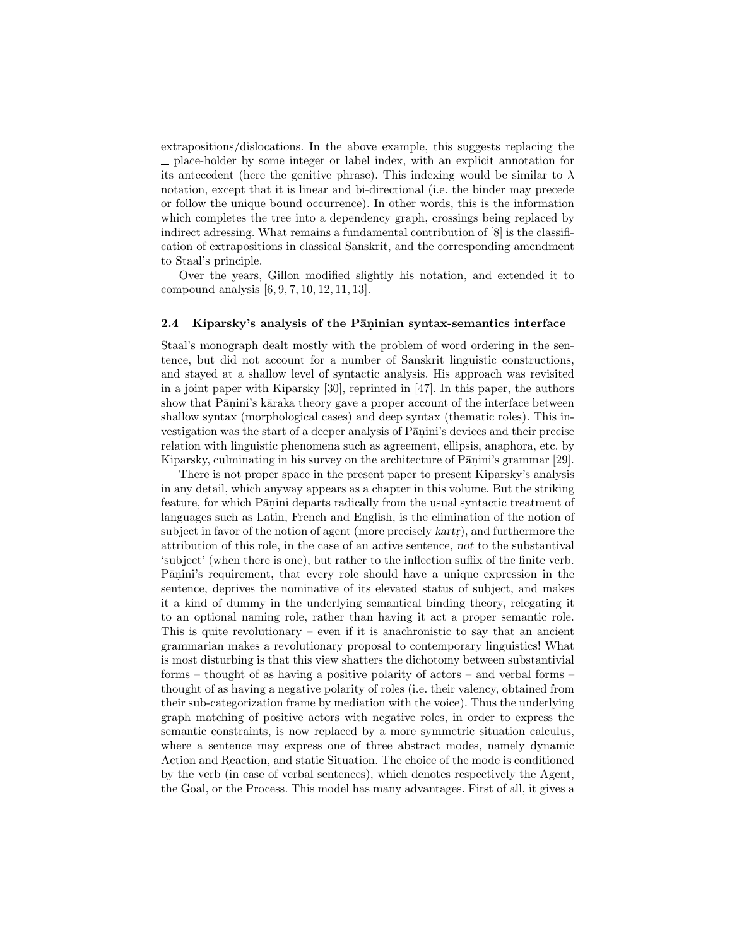extrapositions/dislocations. In the above example, this suggests replacing the place-holder by some integer or label index, with an explicit annotation for its antecedent (here the genitive phrase). This indexing would be similar to  $\lambda$ notation, except that it is linear and bi-directional (i.e. the binder may precede or follow the unique bound occurrence). In other words, this is the information which completes the tree into a dependency graph, crossings being replaced by indirect adressing. What remains a fundamental contribution of [8] is the classification of extrapositions in classical Sanskrit, and the corresponding amendment to Staal's principle.

Over the years, Gillon modified slightly his notation, and extended it to compound analysis [6, 9, 7, 10, 12, 11, 13].

# 2.4 Kiparsky's analysis of the Pāṇinian syntax-semantics interface

Staal's monograph dealt mostly with the problem of word ordering in the sentence, but did not account for a number of Sanskrit linguistic constructions, and stayed at a shallow level of syntactic analysis. His approach was revisited in a joint paper with Kiparsky [30], reprinted in [47]. In this paper, the authors show that Pāṇini's kāraka theory gave a proper account of the interface between shallow syntax (morphological cases) and deep syntax (thematic roles). This investigation was the start of a deeper analysis of Pāṇini's devices and their precise relation with linguistic phenomena such as agreement, ellipsis, anaphora, etc. by Kiparsky, culminating in his survey on the architecture of Pāṇini's grammar [29].

There is not proper space in the present paper to present Kiparsky's analysis in any detail, which anyway appears as a chapter in this volume. But the striking feature, for which Pāṇini departs radically from the usual syntactic treatment of languages such as Latin, French and English, is the elimination of the notion of subject in favor of the notion of agent (more precisely *kartr*), and furthermore the attribution of this role, in the case of an active sentence, not to the substantival 'subject' (when there is one), but rather to the inflection suffix of the finite verb. Pāṇini's requirement, that every role should have a unique expression in the sentence, deprives the nominative of its elevated status of subject, and makes it a kind of dummy in the underlying semantical binding theory, relegating it to an optional naming role, rather than having it act a proper semantic role. This is quite revolutionary – even if it is anachronistic to say that an ancient grammarian makes a revolutionary proposal to contemporary linguistics! What is most disturbing is that this view shatters the dichotomy between substantivial forms – thought of as having a positive polarity of actors – and verbal forms – thought of as having a negative polarity of roles (i.e. their valency, obtained from their sub-categorization frame by mediation with the voice). Thus the underlying graph matching of positive actors with negative roles, in order to express the semantic constraints, is now replaced by a more symmetric situation calculus, where a sentence may express one of three abstract modes, namely dynamic Action and Reaction, and static Situation. The choice of the mode is conditioned by the verb (in case of verbal sentences), which denotes respectively the Agent, the Goal, or the Process. This model has many advantages. First of all, it gives a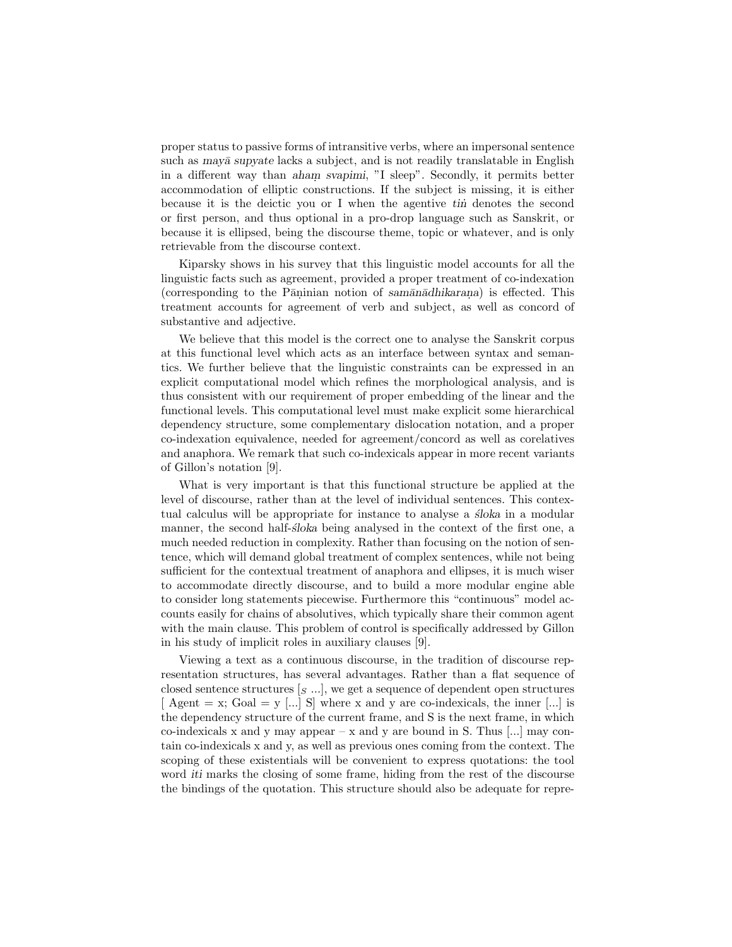proper status to passive forms of intransitive verbs, where an impersonal sentence such as may a suppate lacks a subject, and is not readily translatable in English in a different way than aham. svapimi, "I sleep". Secondly, it permits better accommodation of elliptic constructions. If the subject is missing, it is either because it is the deictic you or I when the agentive  $\tilde{t}$  in denotes the second or first person, and thus optional in a pro-drop language such as Sanskrit, or because it is ellipsed, being the discourse theme, topic or whatever, and is only retrievable from the discourse context.

Kiparsky shows in his survey that this linguistic model accounts for all the linguistic facts such as agreement, provided a proper treatment of co-indexation (corresponding to the Pāṇinian notion of samānādhikaraṇa) is effected. This treatment accounts for agreement of verb and subject, as well as concord of substantive and adjective.

We believe that this model is the correct one to analyse the Sanskrit corpus at this functional level which acts as an interface between syntax and semantics. We further believe that the linguistic constraints can be expressed in an explicit computational model which refines the morphological analysis, and is thus consistent with our requirement of proper embedding of the linear and the functional levels. This computational level must make explicit some hierarchical dependency structure, some complementary dislocation notation, and a proper co-indexation equivalence, needed for agreement/concord as well as corelatives and anaphora. We remark that such co-indexicals appear in more recent variants of Gillon's notation [9].

What is very important is that this functional structure be applied at the level of discourse, rather than at the level of individual sentences. This contextual calculus will be appropriate for instance to analyse a *sloka* in a modular manner, the second half- $s$ loka being analysed in the context of the first one, a much needed reduction in complexity. Rather than focusing on the notion of sentence, which will demand global treatment of complex sentences, while not being sufficient for the contextual treatment of anaphora and ellipses, it is much wiser to accommodate directly discourse, and to build a more modular engine able to consider long statements piecewise. Furthermore this "continuous" model accounts easily for chains of absolutives, which typically share their common agent with the main clause. This problem of control is specifically addressed by Gillon in his study of implicit roles in auxiliary clauses [9].

Viewing a text as a continuous discourse, in the tradition of discourse representation structures, has several advantages. Rather than a flat sequence of closed sentence structures  $[s \ldots]$ , we get a sequence of dependent open structures  $[$  Agent = x; Goal = y [...] S where x and y are co-indexicals, the inner [...] is the dependency structure of the current frame, and S is the next frame, in which co-indexicals x and y may appear  $-x$  and y are bound in S. Thus [...] may contain co-indexicals x and y, as well as previous ones coming from the context. The scoping of these existentials will be convenient to express quotations: the tool word iti marks the closing of some frame, hiding from the rest of the discourse the bindings of the quotation. This structure should also be adequate for repre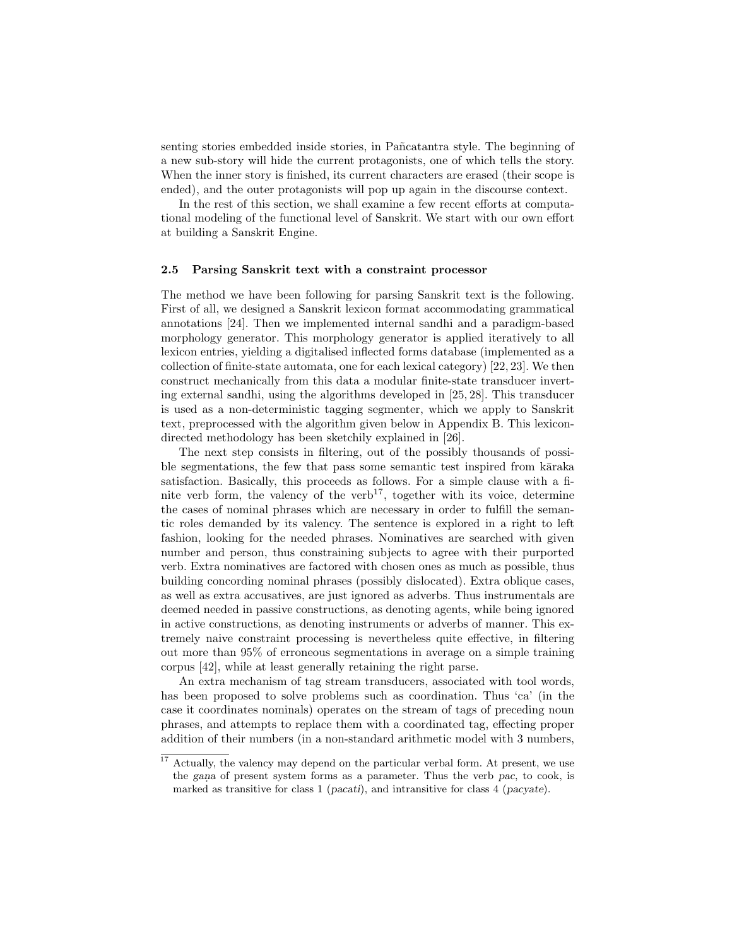senting stories embedded inside stories, in Pañcatantra style. The beginning of a new sub-story will hide the current protagonists, one of which tells the story. When the inner story is finished, its current characters are erased (their scope is ended), and the outer protagonists will pop up again in the discourse context.

In the rest of this section, we shall examine a few recent efforts at computational modeling of the functional level of Sanskrit. We start with our own effort at building a Sanskrit Engine.

#### 2.5 Parsing Sanskrit text with a constraint processor

The method we have been following for parsing Sanskrit text is the following. First of all, we designed a Sanskrit lexicon format accommodating grammatical annotations [24]. Then we implemented internal sandhi and a paradigm-based morphology generator. This morphology generator is applied iteratively to all lexicon entries, yielding a digitalised inflected forms database (implemented as a collection of finite-state automata, one for each lexical category) [22, 23]. We then construct mechanically from this data a modular finite-state transducer inverting external sandhi, using the algorithms developed in [25, 28]. This transducer is used as a non-deterministic tagging segmenter, which we apply to Sanskrit text, preprocessed with the algorithm given below in Appendix B. This lexicondirected methodology has been sketchily explained in [26].

The next step consists in filtering, out of the possibly thousands of possible segmentations, the few that pass some semantic test inspired from k $\bar{a}$ raka satisfaction. Basically, this proceeds as follows. For a simple clause with a finite verb form, the valency of the verb<sup>17</sup>, together with its voice, determine the cases of nominal phrases which are necessary in order to fulfill the semantic roles demanded by its valency. The sentence is explored in a right to left fashion, looking for the needed phrases. Nominatives are searched with given number and person, thus constraining subjects to agree with their purported verb. Extra nominatives are factored with chosen ones as much as possible, thus building concording nominal phrases (possibly dislocated). Extra oblique cases, as well as extra accusatives, are just ignored as adverbs. Thus instrumentals are deemed needed in passive constructions, as denoting agents, while being ignored in active constructions, as denoting instruments or adverbs of manner. This extremely naive constraint processing is nevertheless quite effective, in filtering out more than 95% of erroneous segmentations in average on a simple training corpus [42], while at least generally retaining the right parse.

An extra mechanism of tag stream transducers, associated with tool words, has been proposed to solve problems such as coordination. Thus 'ca' (in the case it coordinates nominals) operates on the stream of tags of preceding noun phrases, and attempts to replace them with a coordinated tag, effecting proper addition of their numbers (in a non-standard arithmetic model with 3 numbers,

 $17$  Actually, the valency may depend on the particular verbal form. At present, we use the gana of present system forms as a parameter. Thus the verb pac, to cook, is marked as transitive for class 1 (pacati), and intransitive for class 4 (pacyate).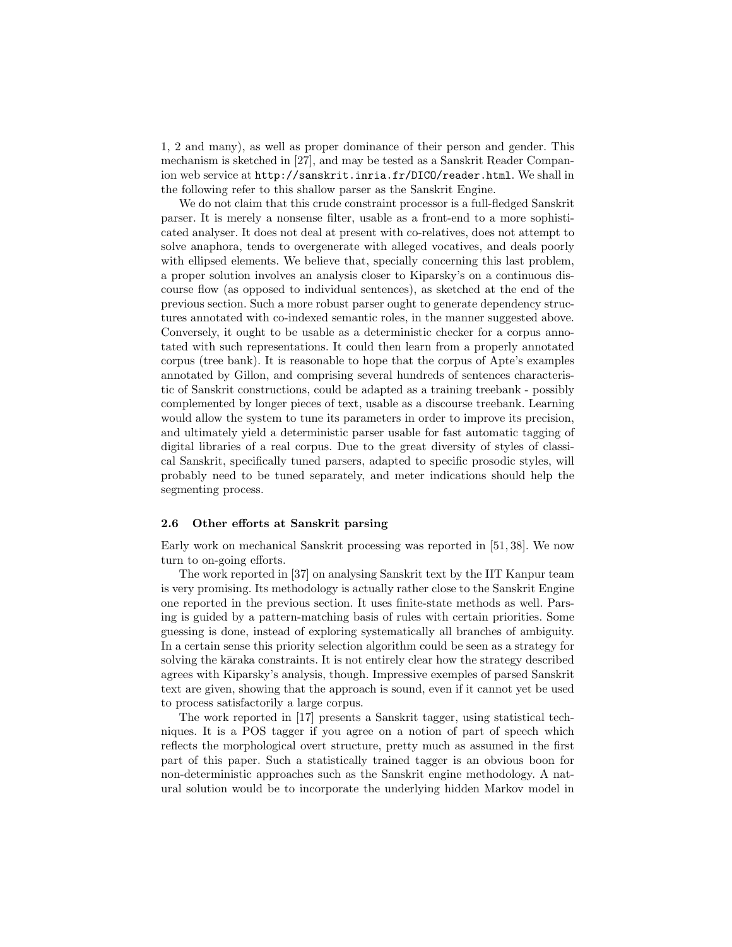1, 2 and many), as well as proper dominance of their person and gender. This mechanism is sketched in [27], and may be tested as a Sanskrit Reader Companion web service at http://sanskrit.inria.fr/DICO/reader.html. We shall in the following refer to this shallow parser as the Sanskrit Engine.

We do not claim that this crude constraint processor is a full-fledged Sanskrit parser. It is merely a nonsense filter, usable as a front-end to a more sophisticated analyser. It does not deal at present with co-relatives, does not attempt to solve anaphora, tends to overgenerate with alleged vocatives, and deals poorly with ellipsed elements. We believe that, specially concerning this last problem, a proper solution involves an analysis closer to Kiparsky's on a continuous discourse flow (as opposed to individual sentences), as sketched at the end of the previous section. Such a more robust parser ought to generate dependency structures annotated with co-indexed semantic roles, in the manner suggested above. Conversely, it ought to be usable as a deterministic checker for a corpus annotated with such representations. It could then learn from a properly annotated corpus (tree bank). It is reasonable to hope that the corpus of Apte's examples annotated by Gillon, and comprising several hundreds of sentences characteristic of Sanskrit constructions, could be adapted as a training treebank - possibly complemented by longer pieces of text, usable as a discourse treebank. Learning would allow the system to tune its parameters in order to improve its precision, and ultimately yield a deterministic parser usable for fast automatic tagging of digital libraries of a real corpus. Due to the great diversity of styles of classical Sanskrit, specifically tuned parsers, adapted to specific prosodic styles, will probably need to be tuned separately, and meter indications should help the segmenting process.

#### 2.6 Other efforts at Sanskrit parsing

Early work on mechanical Sanskrit processing was reported in [51, 38]. We now turn to on-going efforts.

The work reported in [37] on analysing Sanskrit text by the IIT Kanpur team is very promising. Its methodology is actually rather close to the Sanskrit Engine one reported in the previous section. It uses finite-state methods as well. Parsing is guided by a pattern-matching basis of rules with certain priorities. Some guessing is done, instead of exploring systematically all branches of ambiguity. In a certain sense this priority selection algorithm could be seen as a strategy for solving the kāraka constraints. It is not entirely clear how the strategy described agrees with Kiparsky's analysis, though. Impressive exemples of parsed Sanskrit text are given, showing that the approach is sound, even if it cannot yet be used to process satisfactorily a large corpus.

The work reported in [17] presents a Sanskrit tagger, using statistical techniques. It is a POS tagger if you agree on a notion of part of speech which reflects the morphological overt structure, pretty much as assumed in the first part of this paper. Such a statistically trained tagger is an obvious boon for non-deterministic approaches such as the Sanskrit engine methodology. A natural solution would be to incorporate the underlying hidden Markov model in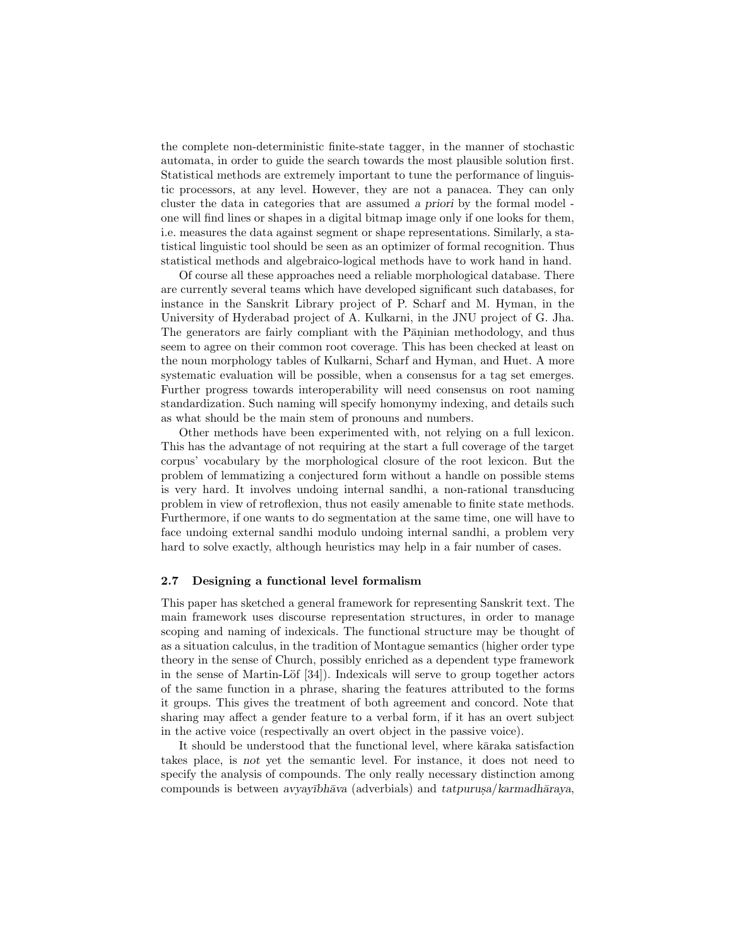the complete non-deterministic finite-state tagger, in the manner of stochastic automata, in order to guide the search towards the most plausible solution first. Statistical methods are extremely important to tune the performance of linguistic processors, at any level. However, they are not a panacea. They can only cluster the data in categories that are assumed a priori by the formal model one will find lines or shapes in a digital bitmap image only if one looks for them, i.e. measures the data against segment or shape representations. Similarly, a statistical linguistic tool should be seen as an optimizer of formal recognition. Thus statistical methods and algebraico-logical methods have to work hand in hand.

Of course all these approaches need a reliable morphological database. There are currently several teams which have developed significant such databases, for instance in the Sanskrit Library project of P. Scharf and M. Hyman, in the University of Hyderabad project of A. Kulkarni, in the JNU project of G. Jha. The generators are fairly compliant with the Pāṇinian methodology, and thus seem to agree on their common root coverage. This has been checked at least on the noun morphology tables of Kulkarni, Scharf and Hyman, and Huet. A more systematic evaluation will be possible, when a consensus for a tag set emerges. Further progress towards interoperability will need consensus on root naming standardization. Such naming will specify homonymy indexing, and details such as what should be the main stem of pronouns and numbers.

Other methods have been experimented with, not relying on a full lexicon. This has the advantage of not requiring at the start a full coverage of the target corpus' vocabulary by the morphological closure of the root lexicon. But the problem of lemmatizing a conjectured form without a handle on possible stems is very hard. It involves undoing internal sandhi, a non-rational transducing problem in view of retroflexion, thus not easily amenable to finite state methods. Furthermore, if one wants to do segmentation at the same time, one will have to face undoing external sandhi modulo undoing internal sandhi, a problem very hard to solve exactly, although heuristics may help in a fair number of cases.

#### 2.7 Designing a functional level formalism

This paper has sketched a general framework for representing Sanskrit text. The main framework uses discourse representation structures, in order to manage scoping and naming of indexicals. The functional structure may be thought of as a situation calculus, in the tradition of Montague semantics (higher order type theory in the sense of Church, possibly enriched as a dependent type framework in the sense of Martin-Löf  $[34]$ . Indexicals will serve to group together actors of the same function in a phrase, sharing the features attributed to the forms it groups. This gives the treatment of both agreement and concord. Note that sharing may affect a gender feature to a verbal form, if it has an overt subject in the active voice (respectivally an overt object in the passive voice).

It should be understood that the functional level, where karaka satisfaction takes place, is not yet the semantic level. For instance, it does not need to specify the analysis of compounds. The only really necessary distinction among compounds is between avyay $\bar{v}$ bh $\bar{a}v$ a (adverbials) and tatpurusa/karmadh $\bar{a}r$ aya,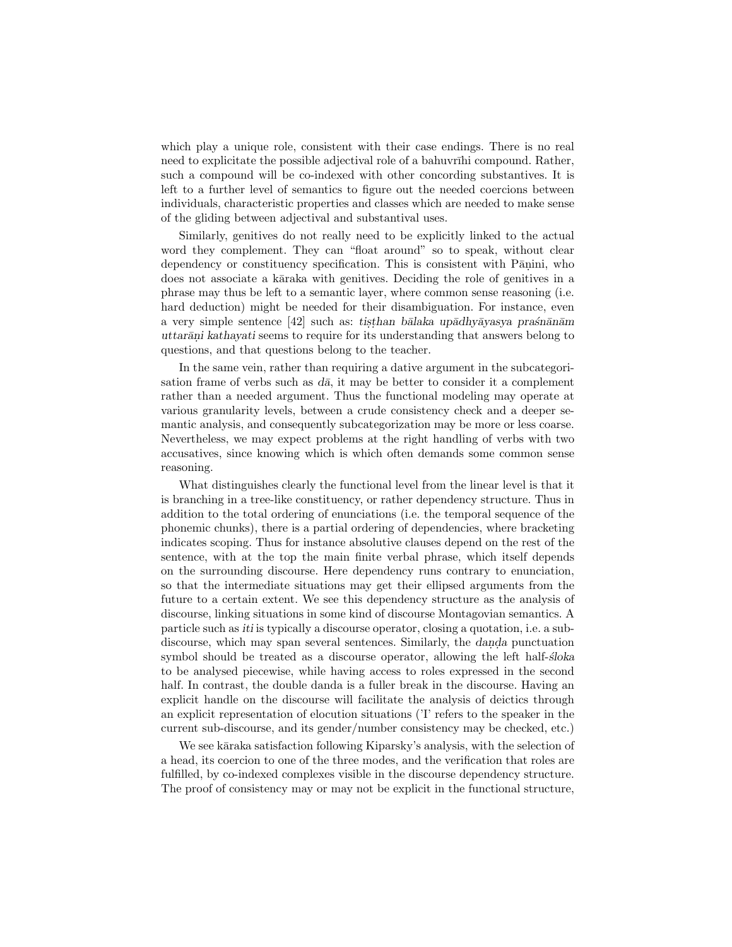which play a unique role, consistent with their case endings. There is no real need to explicitate the possible adjectival role of a bahuvrīhi compound. Rather, such a compound will be co-indexed with other concording substantives. It is left to a further level of semantics to figure out the needed coercions between individuals, characteristic properties and classes which are needed to make sense of the gliding between adjectival and substantival uses.

Similarly, genitives do not really need to be explicitly linked to the actual word they complement. They can "float around" so to speak, without clear dependency or constituency specification. This is consistent with Pāṇini, who does not associate a kāraka with genitives. Deciding the role of genitives in a phrase may thus be left to a semantic layer, where common sense reasoning (i.e. hard deduction) might be needed for their disambiguation. For instance, even a very simple sentence  $[42]$  such as: tisthan bālaka upādhyāyasya praśnānām uttarāņi kathayati seems to require for its understanding that answers belong to questions, and that questions belong to the teacher.

In the same vein, rather than requiring a dative argument in the subcategorisation frame of verbs such as  $d\bar{a}$ , it may be better to consider it a complement rather than a needed argument. Thus the functional modeling may operate at various granularity levels, between a crude consistency check and a deeper semantic analysis, and consequently subcategorization may be more or less coarse. Nevertheless, we may expect problems at the right handling of verbs with two accusatives, since knowing which is which often demands some common sense reasoning.

What distinguishes clearly the functional level from the linear level is that it is branching in a tree-like constituency, or rather dependency structure. Thus in addition to the total ordering of enunciations (i.e. the temporal sequence of the phonemic chunks), there is a partial ordering of dependencies, where bracketing indicates scoping. Thus for instance absolutive clauses depend on the rest of the sentence, with at the top the main finite verbal phrase, which itself depends on the surrounding discourse. Here dependency runs contrary to enunciation, so that the intermediate situations may get their ellipsed arguments from the future to a certain extent. We see this dependency structure as the analysis of discourse, linking situations in some kind of discourse Montagovian semantics. A particle such as iti is typically a discourse operator, closing a quotation, i.e. a subdiscourse, which may span several sentences. Similarly, the danda punctuation symbol should be treated as a discourse operator, allowing the left half-sloka to be analysed piecewise, while having access to roles expressed in the second half. In contrast, the double danda is a fuller break in the discourse. Having an explicit handle on the discourse will facilitate the analysis of deictics through an explicit representation of elocution situations ('I' refers to the speaker in the current sub-discourse, and its gender/number consistency may be checked, etc.)

We see kāraka satisfaction following Kiparsky's analysis, with the selection of a head, its coercion to one of the three modes, and the verification that roles are fulfilled, by co-indexed complexes visible in the discourse dependency structure. The proof of consistency may or may not be explicit in the functional structure,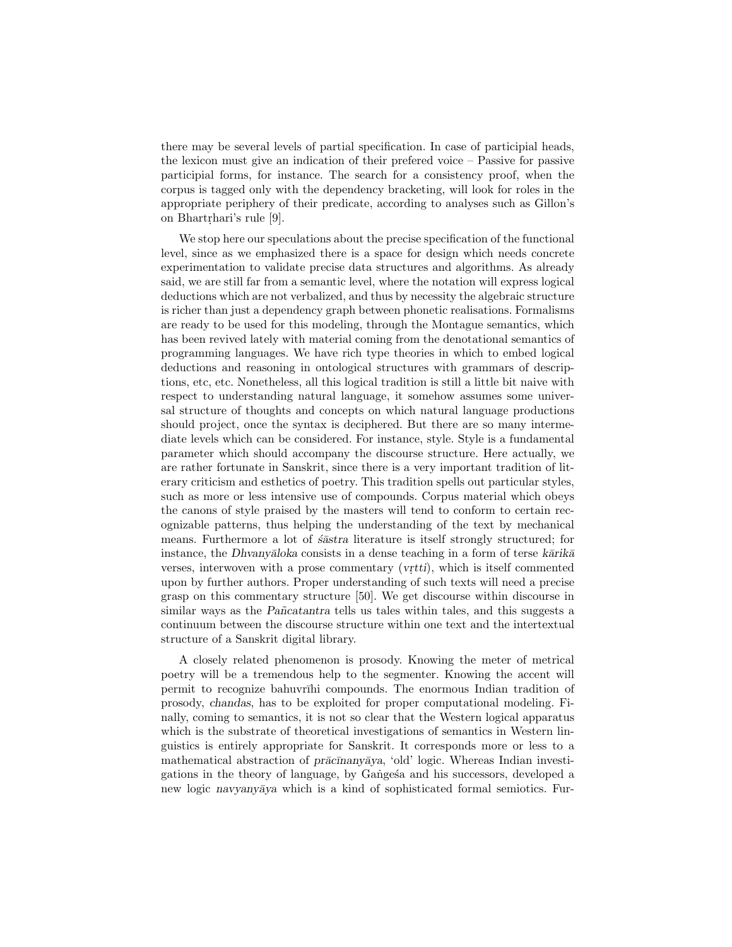there may be several levels of partial specification. In case of participial heads, the lexicon must give an indication of their prefered voice – Passive for passive participial forms, for instance. The search for a consistency proof, when the corpus is tagged only with the dependency bracketing, will look for roles in the appropriate periphery of their predicate, according to analyses such as Gillon's on Bhartrhari's rule [9].

We stop here our speculations about the precise specification of the functional level, since as we emphasized there is a space for design which needs concrete experimentation to validate precise data structures and algorithms. As already said, we are still far from a semantic level, where the notation will express logical deductions which are not verbalized, and thus by necessity the algebraic structure is richer than just a dependency graph between phonetic realisations. Formalisms are ready to be used for this modeling, through the Montague semantics, which has been revived lately with material coming from the denotational semantics of programming languages. We have rich type theories in which to embed logical deductions and reasoning in ontological structures with grammars of descriptions, etc, etc. Nonetheless, all this logical tradition is still a little bit naive with respect to understanding natural language, it somehow assumes some universal structure of thoughts and concepts on which natural language productions should project, once the syntax is deciphered. But there are so many intermediate levels which can be considered. For instance, style. Style is a fundamental parameter which should accompany the discourse structure. Here actually, we are rather fortunate in Sanskrit, since there is a very important tradition of literary criticism and esthetics of poetry. This tradition spells out particular styles, such as more or less intensive use of compounds. Corpus material which obeys the canons of style praised by the masters will tend to conform to certain recognizable patterns, thus helping the understanding of the text by mechanical means. Furthermore a lot of  $\tilde{s}$ astra literature is itself strongly structured; for instance, the Dhvanyāloka consists in a dense teaching in a form of terse kārikā verses, interwoven with a prose commentary (*vrtti*), which is itself commented upon by further authors. Proper understanding of such texts will need a precise grasp on this commentary structure [50]. We get discourse within discourse in similar ways as the Pañcatantra tells us tales within tales, and this suggests a continuum between the discourse structure within one text and the intertextual structure of a Sanskrit digital library.

A closely related phenomenon is prosody. Knowing the meter of metrical poetry will be a tremendous help to the segmenter. Knowing the accent will permit to recognize bahuvrīhi compounds. The enormous Indian tradition of prosody, chandas, has to be exploited for proper computational modeling. Finally, coming to semantics, it is not so clear that the Western logical apparatus which is the substrate of theoretical investigations of semantics in Western linguistics is entirely appropriate for Sanskrit. It corresponds more or less to a mathematical abstraction of  $prācīnanyāya$ , 'old' logic. Whereas Indian investigations in the theory of language, by Ganges's and his successors, developed a new logic navyany $\bar{a}$ ya which is a kind of sophisticated formal semiotics. Fur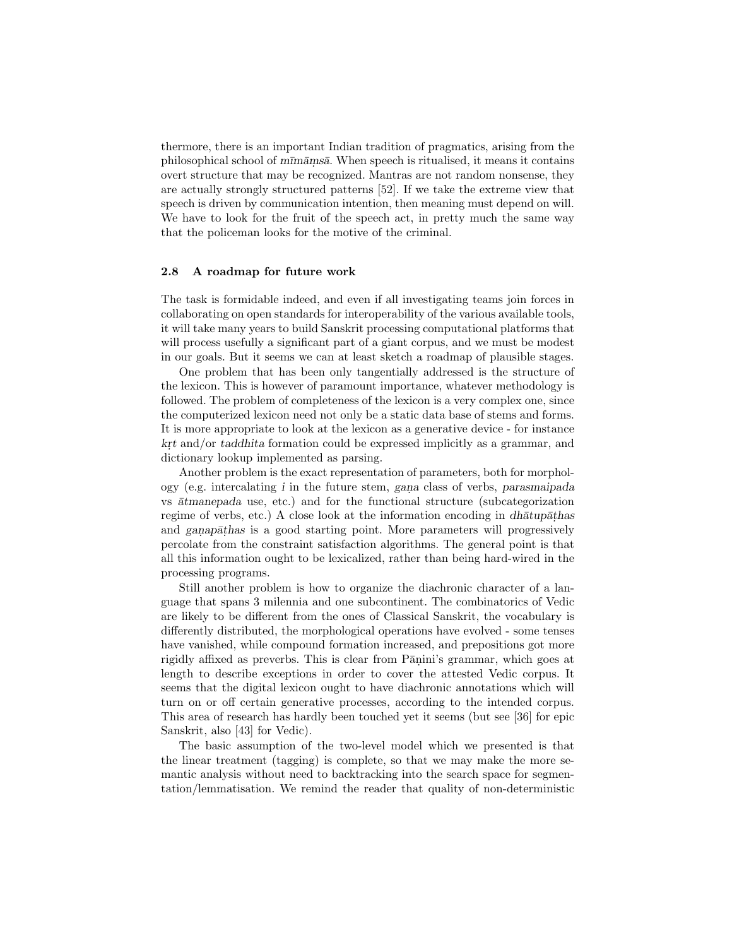thermore, there is an important Indian tradition of pragmatics, arising from the philosophical school of mīmāmsā. When speech is ritualised, it means it contains overt structure that may be recognized. Mantras are not random nonsense, they are actually strongly structured patterns [52]. If we take the extreme view that speech is driven by communication intention, then meaning must depend on will. We have to look for the fruit of the speech act, in pretty much the same way that the policeman looks for the motive of the criminal.

#### 2.8 A roadmap for future work

The task is formidable indeed, and even if all investigating teams join forces in collaborating on open standards for interoperability of the various available tools, it will take many years to build Sanskrit processing computational platforms that will process usefully a significant part of a giant corpus, and we must be modest in our goals. But it seems we can at least sketch a roadmap of plausible stages.

One problem that has been only tangentially addressed is the structure of the lexicon. This is however of paramount importance, whatever methodology is followed. The problem of completeness of the lexicon is a very complex one, since the computerized lexicon need not only be a static data base of stems and forms. It is more appropriate to look at the lexicon as a generative device - for instance krt and/or taddhita formation could be expressed implicitly as a grammar, and dictionary lookup implemented as parsing.

Another problem is the exact representation of parameters, both for morphol $ogy$  (e.g. intercalating *i* in the future stem, gana class of verbs, parasmaipada vs ¯atmanepada use, etc.) and for the functional structure (subcategorization regime of verbs, etc.) A close look at the information encoding in dh $\bar{a}t$ up $\bar{a}t$ has and ganapathas is a good starting point. More parameters will progressively percolate from the constraint satisfaction algorithms. The general point is that all this information ought to be lexicalized, rather than being hard-wired in the processing programs.

Still another problem is how to organize the diachronic character of a language that spans 3 milennia and one subcontinent. The combinatorics of Vedic are likely to be different from the ones of Classical Sanskrit, the vocabulary is differently distributed, the morphological operations have evolved - some tenses have vanished, while compound formation increased, and prepositions got more rigidly affixed as preverbs. This is clear from Pāṇini's grammar, which goes at length to describe exceptions in order to cover the attested Vedic corpus. It seems that the digital lexicon ought to have diachronic annotations which will turn on or off certain generative processes, according to the intended corpus. This area of research has hardly been touched yet it seems (but see [36] for epic Sanskrit, also [43] for Vedic).

The basic assumption of the two-level model which we presented is that the linear treatment (tagging) is complete, so that we may make the more semantic analysis without need to backtracking into the search space for segmentation/lemmatisation. We remind the reader that quality of non-deterministic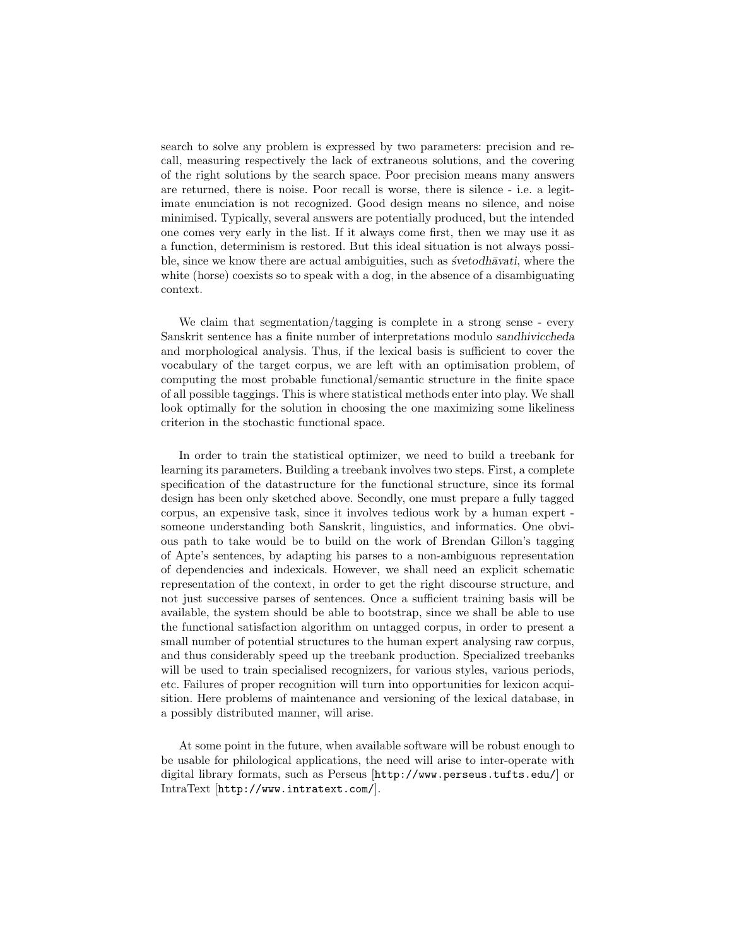search to solve any problem is expressed by two parameters: precision and recall, measuring respectively the lack of extraneous solutions, and the covering of the right solutions by the search space. Poor precision means many answers are returned, there is noise. Poor recall is worse, there is silence - i.e. a legitimate enunciation is not recognized. Good design means no silence, and noise minimised. Typically, several answers are potentially produced, but the intended one comes very early in the list. If it always come first, then we may use it as a function, determinism is restored. But this ideal situation is not always possible, since we know there are actual ambiguities, such as  $\acute{s}v$ etodh $\bar{a}v$ ati, where the white (horse) coexists so to speak with a dog, in the absence of a disambiguating context.

We claim that segmentation/tagging is complete in a strong sense - every Sanskrit sentence has a finite number of interpretations modulo sandhiviccheda and morphological analysis. Thus, if the lexical basis is sufficient to cover the vocabulary of the target corpus, we are left with an optimisation problem, of computing the most probable functional/semantic structure in the finite space of all possible taggings. This is where statistical methods enter into play. We shall look optimally for the solution in choosing the one maximizing some likeliness criterion in the stochastic functional space.

In order to train the statistical optimizer, we need to build a treebank for learning its parameters. Building a treebank involves two steps. First, a complete specification of the datastructure for the functional structure, since its formal design has been only sketched above. Secondly, one must prepare a fully tagged corpus, an expensive task, since it involves tedious work by a human expert someone understanding both Sanskrit, linguistics, and informatics. One obvious path to take would be to build on the work of Brendan Gillon's tagging of Apte's sentences, by adapting his parses to a non-ambiguous representation of dependencies and indexicals. However, we shall need an explicit schematic representation of the context, in order to get the right discourse structure, and not just successive parses of sentences. Once a sufficient training basis will be available, the system should be able to bootstrap, since we shall be able to use the functional satisfaction algorithm on untagged corpus, in order to present a small number of potential structures to the human expert analysing raw corpus, and thus considerably speed up the treebank production. Specialized treebanks will be used to train specialised recognizers, for various styles, various periods, etc. Failures of proper recognition will turn into opportunities for lexicon acquisition. Here problems of maintenance and versioning of the lexical database, in a possibly distributed manner, will arise.

At some point in the future, when available software will be robust enough to be usable for philological applications, the need will arise to inter-operate with digital library formats, such as Perseus [http://www.perseus.tufts.edu/] or IntraText [http://www.intratext.com/].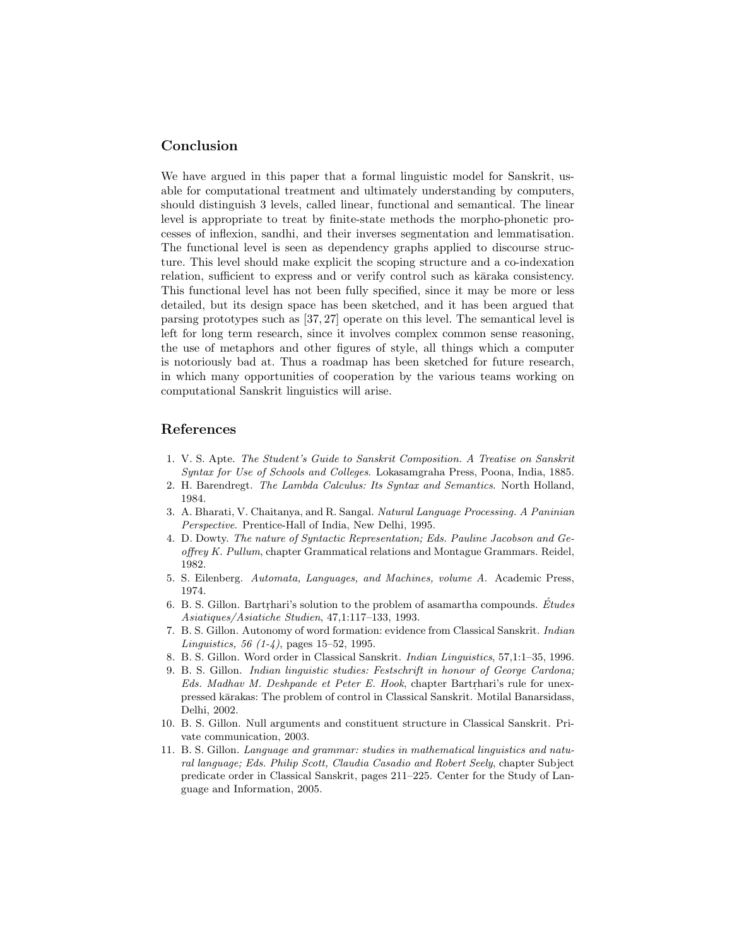# Conclusion

We have argued in this paper that a formal linguistic model for Sanskrit, usable for computational treatment and ultimately understanding by computers, should distinguish 3 levels, called linear, functional and semantical. The linear level is appropriate to treat by finite-state methods the morpho-phonetic processes of inflexion, sandhi, and their inverses segmentation and lemmatisation. The functional level is seen as dependency graphs applied to discourse structure. This level should make explicit the scoping structure and a co-indexation relation, sufficient to express and or verify control such as kāraka consistency. This functional level has not been fully specified, since it may be more or less detailed, but its design space has been sketched, and it has been argued that parsing prototypes such as [37, 27] operate on this level. The semantical level is left for long term research, since it involves complex common sense reasoning, the use of metaphors and other figures of style, all things which a computer is notoriously bad at. Thus a roadmap has been sketched for future research, in which many opportunities of cooperation by the various teams working on computational Sanskrit linguistics will arise.

# References

- 1. V. S. Apte. The Student's Guide to Sanskrit Composition. A Treatise on Sanskrit Syntax for Use of Schools and Colleges. Lokasamgraha Press, Poona, India, 1885.
- 2. H. Barendregt. The Lambda Calculus: Its Syntax and Semantics. North Holland, 1984.
- 3. A. Bharati, V. Chaitanya, and R. Sangal. Natural Language Processing. A Paninian Perspective. Prentice-Hall of India, New Delhi, 1995.
- 4. D. Dowty. The nature of Syntactic Representation; Eds. Pauline Jacobson and Geoffrey K. Pullum, chapter Grammatical relations and Montague Grammars. Reidel, 1982.
- 5. S. Eilenberg. Automata, Languages, and Machines, volume A. Academic Press, 1974.
- 6. B. S. Gillon. Bartrhari's solution to the problem of asamartha compounds.  $\mathbf{E}$ tudes Asiatiques/Asiatiche Studien, 47,1:117–133, 1993.
- 7. B. S. Gillon. Autonomy of word formation: evidence from Classical Sanskrit. Indian Linguistics, 56 (1-4), pages 15–52, 1995.
- 8. B. S. Gillon. Word order in Classical Sanskrit. Indian Linguistics, 57,1:1–35, 1996.
- 9. B. S. Gillon. Indian linguistic studies: Festschrift in honour of George Cardona; Eds. Madhav M. Deshpande et Peter E. Hook, chapter Bartrhari's rule for unexpressed k¯arakas: The problem of control in Classical Sanskrit. Motilal Banarsidass, Delhi, 2002.
- 10. B. S. Gillon. Null arguments and constituent structure in Classical Sanskrit. Private communication, 2003.
- 11. B. S. Gillon. Language and grammar: studies in mathematical linguistics and natural language; Eds. Philip Scott, Claudia Casadio and Robert Seely, chapter Subject predicate order in Classical Sanskrit, pages 211–225. Center for the Study of Language and Information, 2005.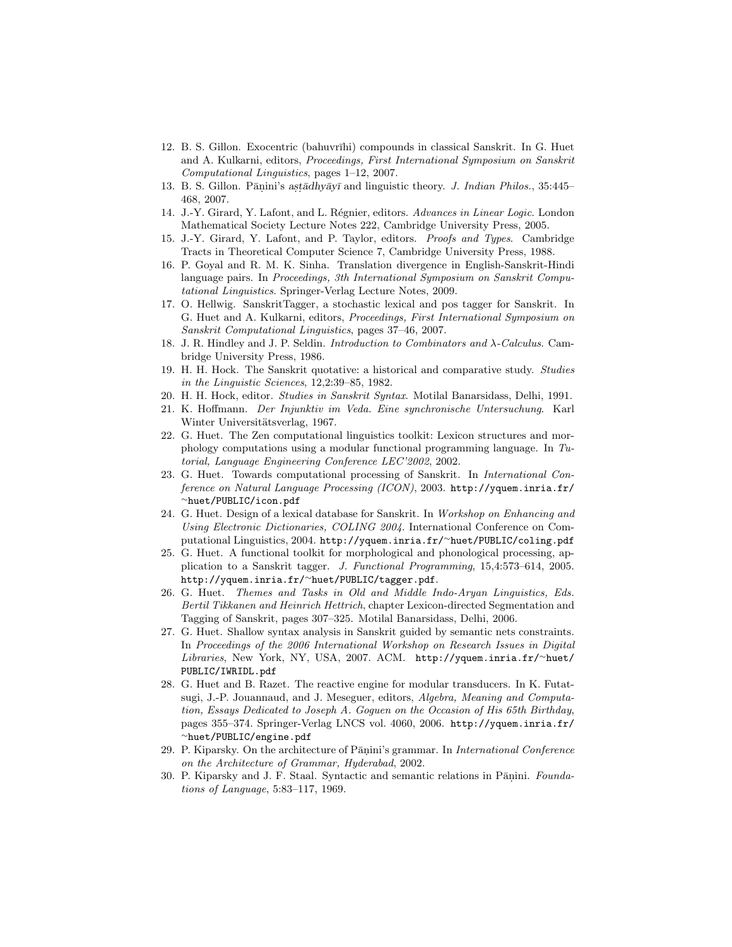- 12. B. S. Gillon. Exocentric (bahuvrīhi) compounds in classical Sanskrit. In G. Huet and A. Kulkarni, editors, Proceedings, First International Symposium on Sanskrit Computational Linguistics, pages 1–12, 2007.
- 13. B. S. Gillon. Pāṇini's aṣṭādhyāyī and linguistic theory. J. Indian Philos., 35:445– 468, 2007.
- 14. J.-Y. Girard, Y. Lafont, and L. Régnier, editors. Advances in Linear Logic. London Mathematical Society Lecture Notes 222, Cambridge University Press, 2005.
- 15. J.-Y. Girard, Y. Lafont, and P. Taylor, editors. Proofs and Types. Cambridge Tracts in Theoretical Computer Science 7, Cambridge University Press, 1988.
- 16. P. Goyal and R. M. K. Sinha. Translation divergence in English-Sanskrit-Hindi language pairs. In Proceedings, 3th International Symposium on Sanskrit Computational Linguistics. Springer-Verlag Lecture Notes, 2009.
- 17. O. Hellwig. SanskritTagger, a stochastic lexical and pos tagger for Sanskrit. In G. Huet and A. Kulkarni, editors, Proceedings, First International Symposium on Sanskrit Computational Linguistics, pages 37–46, 2007.
- 18. J. R. Hindley and J. P. Seldin. Introduction to Combinators and λ-Calculus. Cambridge University Press, 1986.
- 19. H. H. Hock. The Sanskrit quotative: a historical and comparative study. Studies in the Linguistic Sciences, 12,2:39–85, 1982.
- 20. H. H. Hock, editor. Studies in Sanskrit Syntax. Motilal Banarsidass, Delhi, 1991.
- 21. K. Hoffmann. Der Injunktiv im Veda. Eine synchronische Untersuchung. Karl Winter Universitätsverlag, 1967.
- 22. G. Huet. The Zen computational linguistics toolkit: Lexicon structures and morphology computations using a modular functional programming language. In Tutorial, Language Engineering Conference LEC'2002, 2002.
- 23. G. Huet. Towards computational processing of Sanskrit. In International Conference on Natural Language Processing (ICON), 2003. http://yquem.inria.fr/ <sup>∼</sup>huet/PUBLIC/icon.pdf
- 24. G. Huet. Design of a lexical database for Sanskrit. In Workshop on Enhancing and Using Electronic Dictionaries, COLING 2004. International Conference on Computational Linguistics, 2004. http://yquem.inria.fr/<sup>∼</sup>huet/PUBLIC/coling.pdf
- 25. G. Huet. A functional toolkit for morphological and phonological processing, application to a Sanskrit tagger. J. Functional Programming, 15,4:573–614, 2005. http://yquem.inria.fr/<sup>∼</sup>huet/PUBLIC/tagger.pdf.
- 26. G. Huet. Themes and Tasks in Old and Middle Indo-Aryan Linguistics, Eds. Bertil Tikkanen and Heinrich Hettrich, chapter Lexicon-directed Segmentation and Tagging of Sanskrit, pages 307–325. Motilal Banarsidass, Delhi, 2006.
- 27. G. Huet. Shallow syntax analysis in Sanskrit guided by semantic nets constraints. In Proceedings of the 2006 International Workshop on Research Issues in Digital Libraries, New York, NY, USA, 2007. ACM. http://yquem.inria.fr/<sup>∼</sup>huet/ PUBLIC/IWRIDL.pdf
- 28. G. Huet and B. Razet. The reactive engine for modular transducers. In K. Futatsugi, J.-P. Jouannaud, and J. Meseguer, editors, Algebra, Meaning and Computation, Essays Dedicated to Joseph A. Goguen on the Occasion of His 65th Birthday, pages 355–374. Springer-Verlag LNCS vol. 4060, 2006. http://yquem.inria.fr/ <sup>∼</sup>huet/PUBLIC/engine.pdf
- 29. P. Kiparsky. On the architecture of Pāṇini's grammar. In *International Conference* on the Architecture of Grammar, Hyderabad, 2002.
- 30. P. Kiparsky and J. F. Staal. Syntactic and semantic relations in Pāṇini. Foundations of Language, 5:83–117, 1969.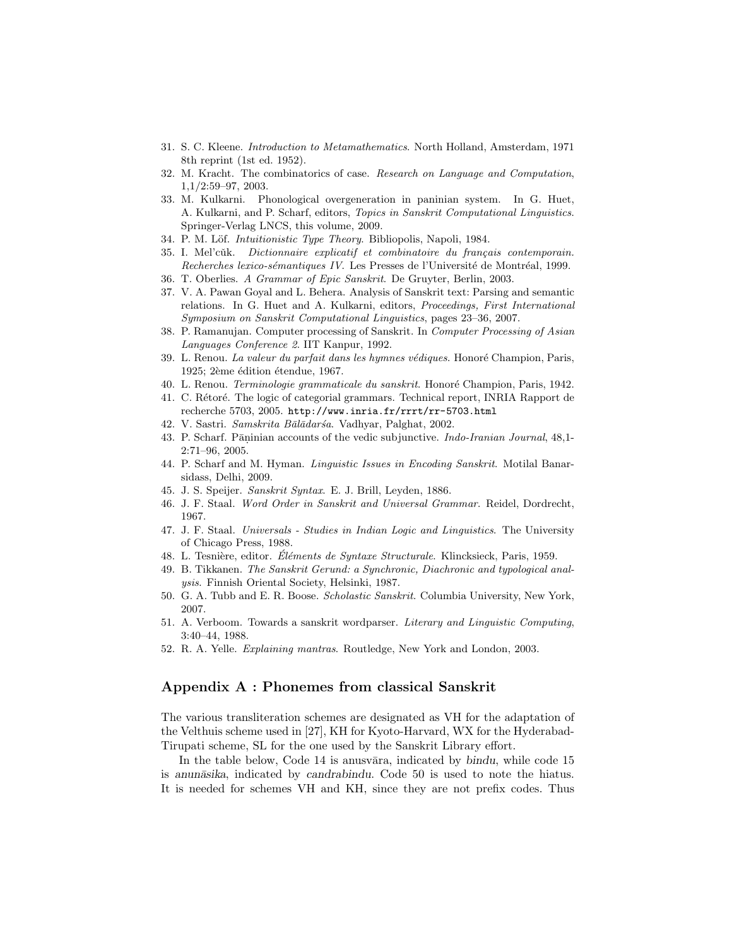- 31. S. C. Kleene. Introduction to Metamathematics. North Holland, Amsterdam, 1971 8th reprint (1st ed. 1952).
- 32. M. Kracht. The combinatorics of case. Research on Language and Computation, 1,1/2:59–97, 2003.
- 33. M. Kulkarni. Phonological overgeneration in paninian system. In G. Huet, A. Kulkarni, and P. Scharf, editors, Topics in Sanskrit Computational Linguistics. Springer-Verlag LNCS, this volume, 2009.
- 34. P. M. Löf. *Intuitionistic Type Theory*. Bibliopolis, Napoli, 1984.
- 35. I. Mel'cŭk. Dictionnaire explicatif et combinatoire du français contemporain. Recherches lexico-sémantiques IV. Les Presses de l'Université de Montréal, 1999.
- 36. T. Oberlies. A Grammar of Epic Sanskrit. De Gruyter, Berlin, 2003.
- 37. V. A. Pawan Goyal and L. Behera. Analysis of Sanskrit text: Parsing and semantic relations. In G. Huet and A. Kulkarni, editors, Proceedings, First International Symposium on Sanskrit Computational Linguistics, pages 23–36, 2007.
- 38. P. Ramanujan. Computer processing of Sanskrit. In Computer Processing of Asian Languages Conference 2. IIT Kanpur, 1992.
- 39. L. Renou. La valeur du parfait dans les hymnes védiques. Honoré Champion, Paris, 1925; 2ème édition étendue, 1967.
- 40. L. Renou. *Terminologie grammaticale du sanskrit*. Honoré Champion, Paris, 1942.
- 41. C. Rétoré. The logic of categorial grammars. Technical report, INRIA Rapport de recherche 5703, 2005. http://www.inria.fr/rrrt/rr-5703.html
- 42. V. Sastri. Samskrita Bālādarsa. Vadhyar, Palghat, 2002.
- 43. P. Scharf. Pāṇinian accounts of the vedic subjunctive. Indo-Iranian Journal, 48,1-2:71–96, 2005.
- 44. P. Scharf and M. Hyman. Linguistic Issues in Encoding Sanskrit. Motilal Banarsidass, Delhi, 2009.
- 45. J. S. Speijer. Sanskrit Syntax. E. J. Brill, Leyden, 1886.
- 46. J. F. Staal. Word Order in Sanskrit and Universal Grammar. Reidel, Dordrecht, 1967.
- 47. J. F. Staal. Universals Studies in Indian Logic and Linguistics. The University of Chicago Press, 1988.
- 48. L. Tesnière, editor. *Éléments de Syntaxe Structurale*. Klincksieck, Paris, 1959.
- 49. B. Tikkanen. The Sanskrit Gerund: a Synchronic, Diachronic and typological analysis. Finnish Oriental Society, Helsinki, 1987.
- 50. G. A. Tubb and E. R. Boose. Scholastic Sanskrit. Columbia University, New York, 2007.
- 51. A. Verboom. Towards a sanskrit wordparser. Literary and Linguistic Computing, 3:40–44, 1988.
- 52. R. A. Yelle. Explaining mantras. Routledge, New York and London, 2003.

# Appendix A : Phonemes from classical Sanskrit

The various transliteration schemes are designated as VH for the adaptation of the Velthuis scheme used in [27], KH for Kyoto-Harvard, WX for the Hyderabad-Tirupati scheme, SL for the one used by the Sanskrit Library effort.

In the table below, Code  $14$  is anusvara, indicated by bindu, while code  $15$ is anunāsika, indicated by candrabindu. Code 50 is used to note the hiatus. It is needed for schemes VH and KH, since they are not prefix codes. Thus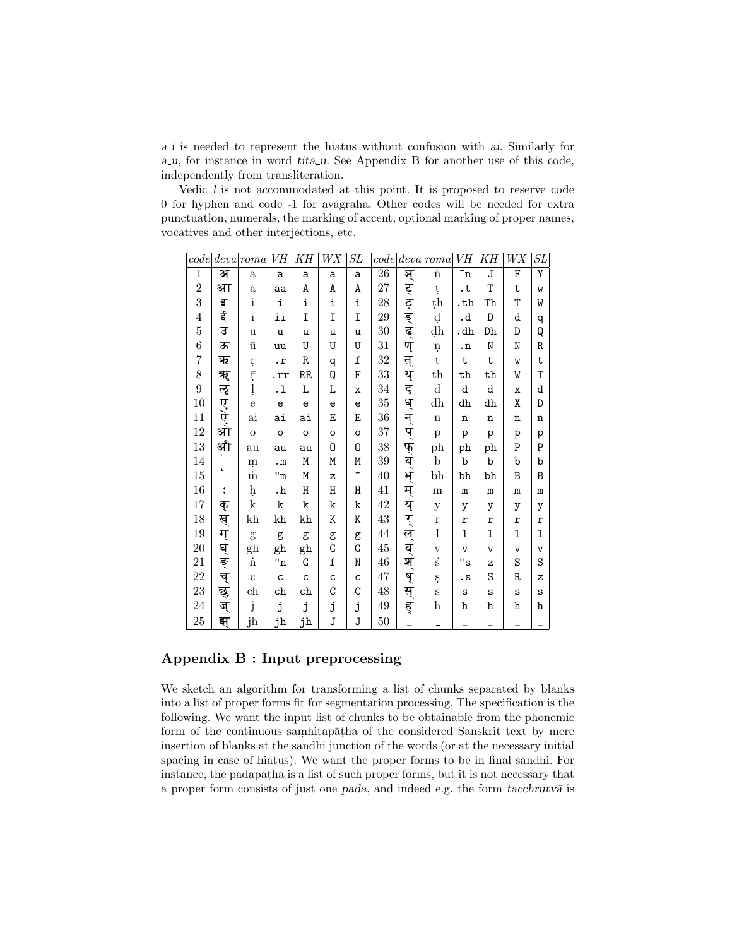a i is needed to represent the hiatus without confusion with a . Similarly for a<sub>-u</sub>, for instance in word tita<sub>-u</sub>. See Appendix B for another use of this code, independently from transliteration.

Vedic l is not accommodated at this point. It is proposed to reserve code 0 for hyphen and code -1 for avagraha. Other codes will be needed for extra punctuation, numerals, the marking of accent, optional marking of proper names, vocatives and other interjections, etc.

|                |                      | code deva roma           | $\overline{V}$ | $\overline{KH}$ | $\overline{WX}$ | $\overline{SL}$       |            |                | code deva roma            | $\overline{V}$        | $\overline{KH}$ | WX             | $\overline{SL}$ |
|----------------|----------------------|--------------------------|----------------|-----------------|-----------------|-----------------------|------------|----------------|---------------------------|-----------------------|-----------------|----------------|-----------------|
| $\mathbf{1}$   | अ                    | $\mathbf{a}$             | a              | a               | a               | a                     | ${\bf 26}$ | ञ्             | $\tilde{\mathbf{n}}$      | $\mathbin{\char`\^}n$ | J               | F              | Υ               |
| $\overline{2}$ | आ                    | $\bar{\mathrm{a}}$       | aa             | A               | A               | A                     | 27         |                | ţ                         | $\cdot$ t             | T               | t              | W               |
| 3              |                      | $\rm i$                  | i              | i               | i               | i                     | 28         |                | ţh                        | .th                   | Th              | T              | W               |
| $\overline{4}$ | ड्<br>ई              | $\overline{1}$           | ii             | I               | I               | I                     | 29         | ट् ठ् ड् ढ् ण् | $\dot{q}$                 | . d                   | D               | d              | q               |
| $\overline{5}$ | उ                    | u                        | u              | u               | u               | u                     | 30         |                | dh                        | .dh                   | Dh              | D              | Q               |
| $\,6$          | ऊ                    | $\bar{\textbf{u}}$       | uu             | U               | U               | U                     | 31         |                | $\dot{\mathbf{n}}$        | . n                   | N               | N              | R               |
| $\overline{7}$ | ऋ                    |                          | $\cdot$ r      | $\mathbb R$     | q               | f                     | 32         | त्             | $\rm t$                   | $\mathbf t$           | $\mathbf t$     | W              | $\mathbf t$     |
| 8              | ॠ                    | $\frac{r}{r}$            | .rr            | RR              | Q               | F                     | 33         | थ्             | $_{\rm th}$               | th                    | th              | W              | T               |
| 9              | ऌ                    | $\underline{\mathop{!}}$ | $\cdot$ 1      | L               | L               | x                     | 34         |                | $\mathbf d$               | d                     | d               | x              | d               |
| 10             |                      | $\overline{e}$           | e              | e               | е               | e                     | 35         |                | dh                        | dh                    | dh              | χ              | D               |
| 11             | ए<br>थो              | ai                       | ai             | ai              | E               | E                     | 36         |                | $\mathbf n$               | n                     | n               | n              | n               |
| $12\,$         |                      | $\overline{O}$           | $\circ$        | $\circ$         | $\circ$         | $\circ$               | 37         | द् ध न प क     | p                         | p                     | p               | p              | p               |
| 13             | औ                    | au                       | au             | au              | 0               | 0                     | 38         |                | ${\rm ph}$                | ph                    | ph              | ${\tt P}$      | $\mathsf{P}$    |
| 14             |                      | $\mathbf{m}$             | $\mathbf{m}$   | M               | Μ               | М                     | 39         |                | $\mathbf b$               | b                     | b               | b              | b               |
| $15\,$         | $\ddot{\phantom{0}}$ | $\dot{m}$                | "m             | M               | z               | $\tilde{\phantom{a}}$ | 40         | भ्             | bh                        | bh                    | bh              | B              | B               |
| 16             | $\ddot{\cdot}$       | ķ                        | . h            | H               | Η               | H                     | 41         |                | m                         | $\mathbf m$           | $\mathbf m$     | $\mathbf m$    | $\mathbf m$     |
| 17             | क्                   | $\mathbf k$              | k              | k               | k               | k                     | 42         |                | у                         | y                     | y               | y              | y               |
| 18             | ख्                   | kh                       | kh             | kh              | Κ               | K                     | 43         |                | $\bf r$                   | r                     | r               | r              | r               |
| 19             | ग्                   | $\mathbf{g}$             | g              | g               | g               | g                     | 44         | म् य् र्<br>ल् | $\bf{l}$                  | $\mathbf{I}$          | 1               | ı              | ı               |
| 20             | घ्                   | gh                       | gh             | gh              | ${\bf G}$       | G                     | 45         | व्             | $\ensuremath{\mathbf{V}}$ | $\overline{V}$        | $\mathbf v$     | $\overline{V}$ | $\overline{V}$  |
| 21             | ङ्                   | $\dot{\mathbf{n}}$       | "n             | G               | f               | N                     | 46         | श्             | $\acute{\textrm{s}}$      | "s                    | z               | S              | S               |
| 22             |                      | $\mathbf c$              | C              | $\mathsf{C}$    | с               | с                     | 47         | ष्             | $\ddot{\textbf{s}}$       | . s                   | S               | R              | z               |
| 23             | च्<br>छ              | ch                       | ch             | ch              | С               | C                     | 48         | स्             | $\rm S$                   | S                     | S               | S              | S               |
| 24             | ज्                   | $\rm j$                  | j              | j               | j               | j                     | 49         | ह्             | $\boldsymbol{\mathrm{h}}$ | h                     | h               | h              | h               |
| 25             | झ्                   | jh                       | jh             | jh              | J               | J                     | $50\,$     |                |                           |                       |                 |                |                 |

# Appendix B : Input preprocessing

We sketch an algorithm for transforming a list of chunks separated by blanks into a list of proper forms fit for segmentation processing. The specification is the following. We want the input list of chunks to be obtainable from the phonemic form of the continuous samhitapatha of the considered Sanskrit text by mere insertion of blanks at the sandhi junction of the words (or at the necessary initial spacing in case of hiatus). We want the proper forms to be in final sandhi. For instance, the padapātha is a list of such proper forms, but it is not necessary that a proper form consists of just one pada, and indeed e.g. the form tacchrutva is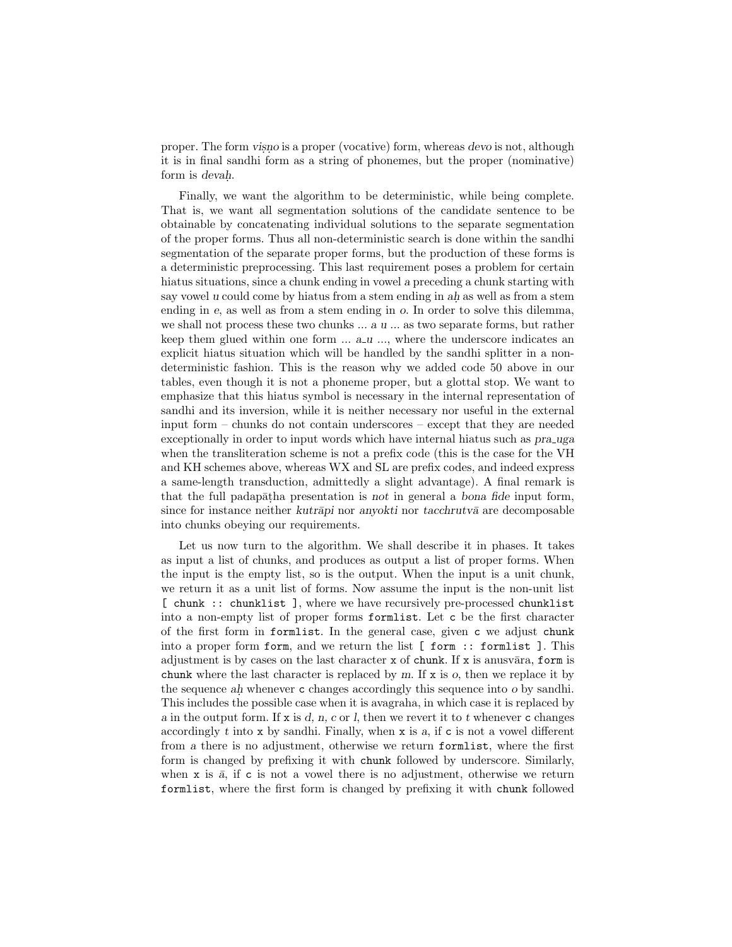proper. The form visno is a proper (vocative) form, whereas devo is not, although it is in final sandhi form as a string of phonemes, but the proper (nominative) form is devah. .

Finally, we want the algorithm to be deterministic, while being complete. That is, we want all segmentation solutions of the candidate sentence to be obtainable by concatenating individual solutions to the separate segmentation of the proper forms. Thus all non-deterministic search is done within the sandhi segmentation of the separate proper forms, but the production of these forms is a deterministic preprocessing. This last requirement poses a problem for certain hiatus situations, since a chunk ending in vowel a preceding a chunk starting with say vowel  $u$  could come by hiatus from a stem ending in ah as well as from a stem ending in e, as well as from a stem ending in o. In order to solve this dilemma, we shall not process these two chunks  $\ldots$  a  $u$   $\ldots$  as two separate forms, but rather keep them glued within one form  $\ldots$  a  $\ldots$  where the underscore indicates an explicit hiatus situation which will be handled by the sandhi splitter in a nondeterministic fashion. This is the reason why we added code 50 above in our tables, even though it is not a phoneme proper, but a glottal stop. We want to emphasize that this hiatus symbol is necessary in the internal representation of sandhi and its inversion, while it is neither necessary nor useful in the external input form – chunks do not contain underscores – except that they are needed exceptionally in order to input words which have internal hiatus such as pra<sub>-uga</sub> when the transliteration scheme is not a prefix code (this is the case for the VH and KH schemes above, whereas WX and SL are prefix codes, and indeed express a same-length transduction, admittedly a slight advantage). A final remark is that the full padap $\bar{a}$ tha presentation is not in general a bona fide input form, since for instance neither kutrāpi nor anyokti nor tacchrutvā are decomposable into chunks obeying our requirements.

Let us now turn to the algorithm. We shall describe it in phases. It takes as input a list of chunks, and produces as output a list of proper forms. When the input is the empty list, so is the output. When the input is a unit chunk, we return it as a unit list of forms. Now assume the input is the non-unit list [ chunk :: chunklist ], where we have recursively pre-processed chunklist into a non-empty list of proper forms formlist. Let c be the first character of the first form in formlist. In the general case, given c we adjust chunk into a proper form form, and we return the list [ form :: formlist ]. This adjustment is by cases on the last character  $x$  of chunk. If  $x$  is anusvara, form is chunk where the last character is replaced by  $m$ . If  $x$  is  $o$ , then we replace it by the sequence ah whenever c changes accordingly this sequence into o by sandhi. This includes the possible case when it is avagraha, in which case it is replaced by a in the output form. If  $x$  is  $d, n, c$  or  $l$ , then we revert it to  $t$  whenever c changes accordingly t into x by sandhi. Finally, when x is a, if c is not a vowel different from a there is no adjustment, otherwise we return formlist, where the first form is changed by prefixing it with chunk followed by underscore. Similarly, when  $x$  is  $\bar{a}$ , if  $c$  is not a vowel there is no adjustment, otherwise we return formlist, where the first form is changed by prefixing it with chunk followed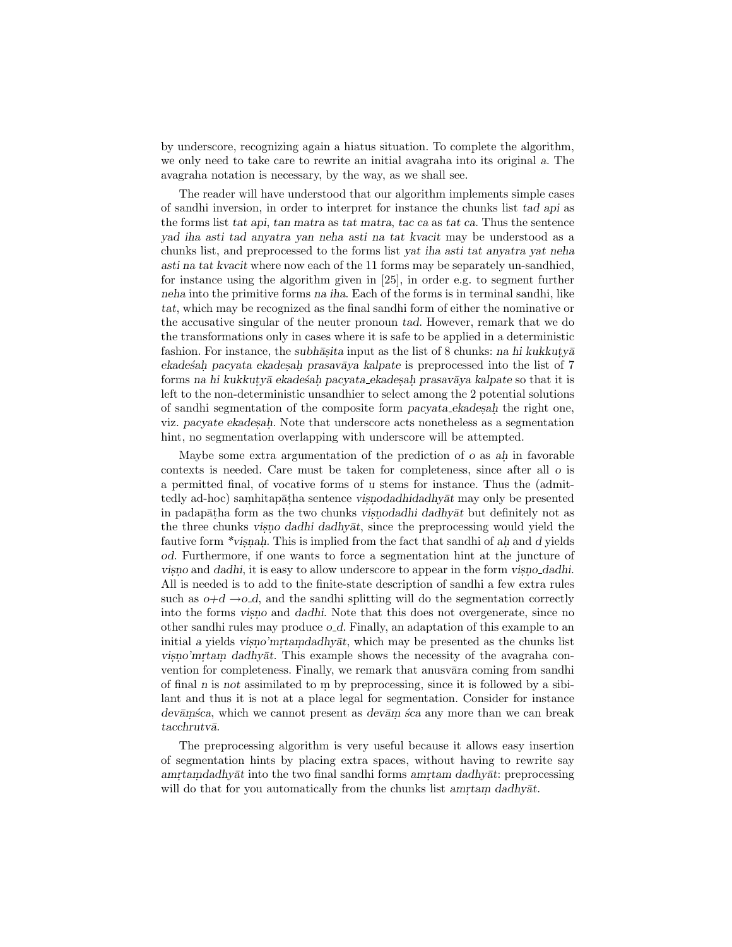by underscore, recognizing again a hiatus situation. To complete the algorithm, we only need to take care to rewrite an initial avagraha into its original a. The avagraha notation is necessary, by the way, as we shall see.

The reader will have understood that our algorithm implements simple cases of sandhi inversion, in order to interpret for instance the chunks list tad api as the forms list tat api, tan matra as tat matra, tac ca as tat ca. Thus the sentence yad iha asti tad anyatra yan neha asti na tat kvacit may be understood as a chunks list, and preprocessed to the forms list yat iha asti tat anyatra yat neha asti na tat kvacit where now each of the 11 forms may be separately un-sandhied, for instance using the algorithm given in [25], in order e.g. to segment further neha into the primitive forms na iha. Each of the forms is in terminal sandhi, like tat, which may be recognized as the final sandhi form of either the nominative or the accusative singular of the neuter pronoun tad. However, remark that we do the transformations only in cases where it is safe to be applied in a deterministic fashion. For instance, the subhāṣita input as the list of 8 chunks: na hi kukkuṭyā ekades ah. pacyata ekades ah. prasavā ya kalpate is preprocessed into the list of 7 forms na hi kukkutyā ekadesah pacyata\_ekadesah prasavāya kalpate so that it is left to the non-deterministic unsandhier to select among the 2 potential solutions of sandhi segmentation of the composite form  $\boldsymbol{p}$  acyata ekadesah the right one, viz. pacyate ekadesah. Note that underscore acts nonetheless as a segmentation hint, no segmentation overlapping with underscore will be attempted.

Maybe some extra argumentation of the prediction of  $o$  as  $ah$  in favorable contexts is needed. Care must be taken for completeness, since after all o is a permitted final, of vocative forms of u stems for instance. Thus the (admittedly ad-hoc) samhitapātha sentence visnodadhidadhyāt may only be presented in padapātha form as the two chunks visnodadhi dadhyāt but definitely not as the three chunks visno dadhi dadhy $\bar{a}t$ , since the preprocessing would yield the fautive form  $**vispah*$ . This is implied from the fact that sandhi of  $ah$  and  $d$  yields od. Furthermore, if one wants to force a segmentation hint at the juncture of visno and dadhi, it is easy to allow underscore to appear in the form visno-dadhi. All is needed is to add to the finite-state description of sandhi a few extra rules such as  $o+d \rightarrow o-d$ , and the sandhi splitting will do the segmentation correctly into the forms visno and dadhi. Note that this does not overgenerate, since no other sandhi rules may produce *o\_d*. Finally, an adaptation of this example to an initial a yields visno'mrtamdadhy $\bar{a}t$ , which may be presented as the chunks list visno'mrtam dadhyāt. This example shows the necessity of the avagraha convention for completeness. Finally, we remark that anusvara coming from sandhi of final  $n$  is not assimilated to  $m$  by preprocessing, since it is followed by a sibilant and thus it is not at a place legal for segmentation. Consider for instance  $dev\bar{a}m\acute{s}ca$ , which we cannot present as  $dev\bar{a}m\acute{s}ca$  any more than we can break  $tacchrutv\bar{a}.$ 

The preprocessing algorithm is very useful because it allows easy insertion of segmentation hints by placing extra spaces, without having to rewrite say amrtamdadhyāt into the two final sandhi forms amrtam dadhyāt: preprocessing will do that for you automatically from the chunks list amrtam dadhyat.